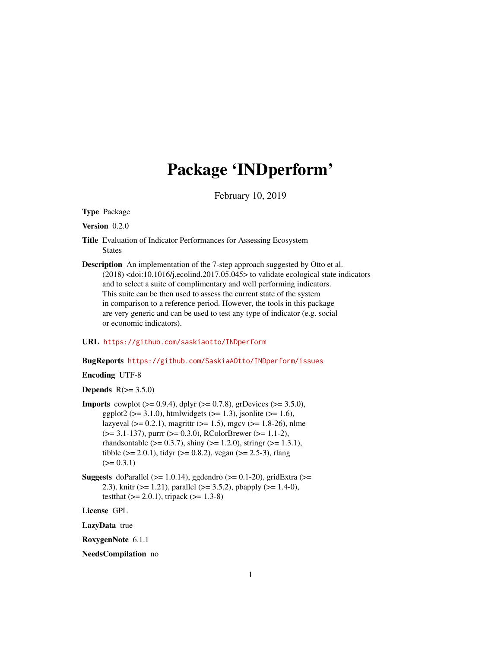# Package 'INDperform'

February 10, 2019

<span id="page-0-0"></span>Type Package

Version 0.2.0

- Title Evaluation of Indicator Performances for Assessing Ecosystem States
- Description An implementation of the 7-step approach suggested by Otto et al. (2018) <doi:10.1016/j.ecolind.2017.05.045> to validate ecological state indicators and to select a suite of complimentary and well performing indicators. This suite can be then used to assess the current state of the system in comparison to a reference period. However, the tools in this package are very generic and can be used to test any type of indicator (e.g. social or economic indicators).

# URL <https://github.com/saskiaotto/INDperform>

# BugReports <https://github.com/SaskiaAOtto/INDperform/issues>

Encoding UTF-8

Depends  $R(>= 3.5.0)$ 

- **Imports** cowplot ( $> = 0.9.4$ ), dplyr ( $> = 0.7.8$ ), grDevices ( $> = 3.5.0$ ), ggplot2 ( $>= 3.1.0$ ), htmlwidgets ( $>= 1.3$ ), jsonlite ( $>= 1.6$ ), lazyeval ( $>= 0.2.1$ ), magrittr ( $>= 1.5$ ), mgcv ( $>= 1.8-26$ ), nlme (>= 3.1-137), purrr (>= 0.3.0), RColorBrewer (>= 1.1-2), rhandsontable ( $> = 0.3.7$ ), shiny ( $> = 1.2.0$ ), stringr ( $> = 1.3.1$ ), tibble ( $> = 2.0.1$ ), tidyr ( $> = 0.8.2$ ), vegan ( $> = 2.5-3$ ), rlang  $(>= 0.3.1)$
- **Suggests** doParallel ( $>= 1.0.14$ ), ggdendro ( $>= 0.1-20$ ), gridExtra ( $>=$ 2.3), knitr (>= 1.21), parallel (>= 3.5.2), pbapply (>= 1.4-0), testthat  $(>= 2.0.1)$ , tripack  $(>= 1.3-8)$

License GPL

LazyData true

RoxygenNote 6.1.1

NeedsCompilation no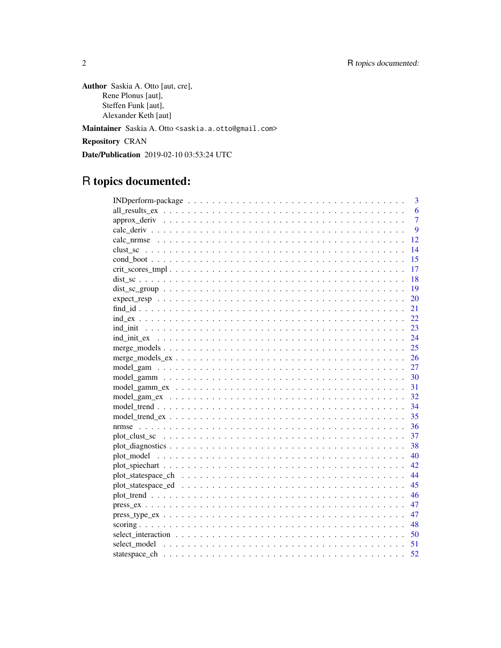Author Saskia A. Otto [aut, cre], Rene Plonus [aut], Steffen Funk [aut], Alexander Keth [aut] Maintainer Saskia A. Otto <saskia.a.otto@gmail.com>

Repository CRAN

Date/Publication 2019-02-10 03:53:24 UTC

# R topics documented:

| 3                                                                                                                       |
|-------------------------------------------------------------------------------------------------------------------------|
| 6                                                                                                                       |
| $\overline{7}$                                                                                                          |
| $\overline{Q}$                                                                                                          |
| 12                                                                                                                      |
| 14                                                                                                                      |
| 15                                                                                                                      |
| 17                                                                                                                      |
| 18                                                                                                                      |
| $dist\_sc\_group \dots \dots \dots \dots \dots \dots \dots \dots \dots \dots \dots \dots \dots \dots \dots \dots$<br>19 |
| 20                                                                                                                      |
| 21                                                                                                                      |
| 22                                                                                                                      |
| 23                                                                                                                      |
| 24                                                                                                                      |
| 25                                                                                                                      |
| 26                                                                                                                      |
| 27                                                                                                                      |
| 30                                                                                                                      |
| 31                                                                                                                      |
| 32                                                                                                                      |
| 34                                                                                                                      |
| 35                                                                                                                      |
| 36<br>nrmse                                                                                                             |
| 37                                                                                                                      |
| 38                                                                                                                      |
| 40                                                                                                                      |
| 42                                                                                                                      |
| 44                                                                                                                      |
| 45                                                                                                                      |
| 46                                                                                                                      |
| 47                                                                                                                      |
| 47<br>$pres\_type\_ex \dots \dots \dots \dots \dots \dots \dots \dots \dots \dots \dots \dots \dots \dots \dots \dots$  |
| 48                                                                                                                      |
| select interaction $\ldots \ldots \ldots \ldots \ldots \ldots \ldots \ldots \ldots \ldots \ldots \ldots$<br>50          |
| 51                                                                                                                      |
| 52                                                                                                                      |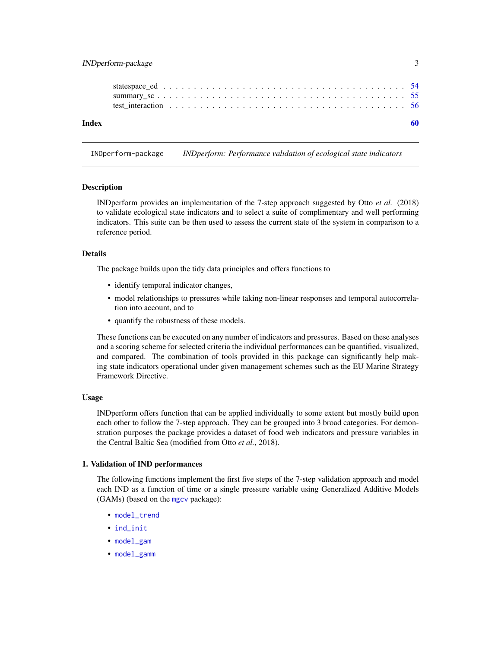# <span id="page-2-0"></span>INDperform-package 3

| Index |  |  |  |
|-------|--|--|--|
|       |  |  |  |
|       |  |  |  |
|       |  |  |  |
|       |  |  |  |

INDperform-package *INDperform: Performance validation of ecological state indicators*

# Description

INDperform provides an implementation of the 7-step approach suggested by Otto *et al.* (2018) to validate ecological state indicators and to select a suite of complimentary and well performing indicators. This suite can be then used to assess the current state of the system in comparison to a reference period.

#### Details

The package builds upon the tidy data principles and offers functions to

- identify temporal indicator changes,
- model relationships to pressures while taking non-linear responses and temporal autocorrelation into account, and to
- quantify the robustness of these models.

These functions can be executed on any number of indicators and pressures. Based on these analyses and a scoring scheme for selected criteria the individual performances can be quantified, visualized, and compared. The combination of tools provided in this package can significantly help making state indicators operational under given management schemes such as the EU Marine Strategy Framework Directive.

### Usage

INDperform offers function that can be applied individually to some extent but mostly build upon each other to follow the 7-step approach. They can be grouped into 3 broad categories. For demonstration purposes the package provides a dataset of food web indicators and pressure variables in the Central Baltic Sea (modified from Otto *et al.*, 2018).

#### 1. Validation of IND performances

The following functions implement the first five steps of the 7-step validation approach and model each IND as a function of time or a single pressure variable using Generalized Additive Models (GAMs) (based on the [mgcv](#page-0-0) package):

- [model\\_trend](#page-33-1)
- [ind\\_init](#page-22-1)
- [model\\_gam](#page-26-1)
- [model\\_gamm](#page-29-1)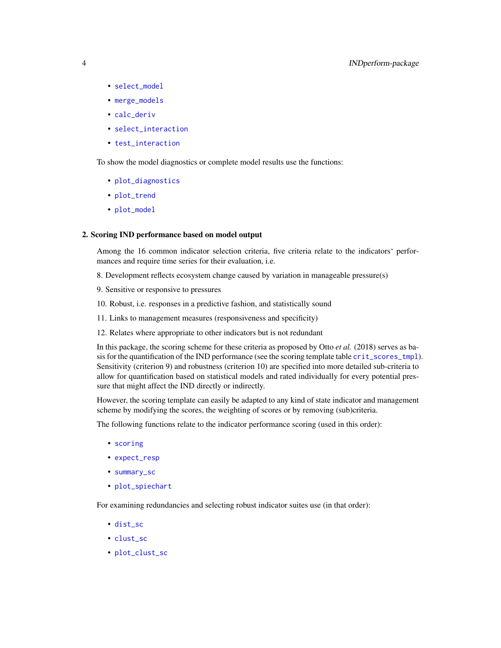- <span id="page-3-0"></span>• [select\\_model](#page-50-1)
- [merge\\_models](#page-24-1)
- [calc\\_deriv](#page-8-1)
- [select\\_interaction](#page-49-1)
- [test\\_interaction](#page-55-1)

To show the model diagnostics or complete model results use the functions:

- [plot\\_diagnostics](#page-37-1)
- [plot\\_trend](#page-45-1)
- [plot\\_model](#page-39-1)

#### 2. Scoring IND performance based on model output

Among the 16 common indicator selection criteria, five criteria relate to the indicators' performances and require time series for their evaluation, i.e.

- 8. Development reflects ecosystem change caused by variation in manageable pressure(s)
- 9. Sensitive or responsive to pressures
- 10. Robust, i.e. responses in a predictive fashion, and statistically sound
- 11. Links to management measures (responsiveness and specificity)
- 12. Relates where appropriate to other indicators but is not redundant

In this package, the scoring scheme for these criteria as proposed by Otto *et al.* (2018) serves as basis for the quantification of the IND performance (see the scoring template table [crit\\_scores\\_tmpl](#page-16-1)). Sensitivity (criterion 9) and robustness (criterion 10) are specified into more detailed sub-criteria to allow for quantification based on statistical models and rated individually for every potential pressure that might affect the IND directly or indirectly.

However, the scoring template can easily be adapted to any kind of state indicator and management scheme by modifying the scores, the weighting of scores or by removing (sub)criteria.

The following functions relate to the indicator performance scoring (used in this order):

- [scoring](#page-47-1)
- [expect\\_resp](#page-19-1)
- [summary\\_sc](#page-54-1)
- [plot\\_spiechart](#page-41-1)

For examining redundancies and selecting robust indicator suites use (in that order):

- [dist\\_sc](#page-17-1)
- [clust\\_sc](#page-13-1)
- [plot\\_clust\\_sc](#page-36-1)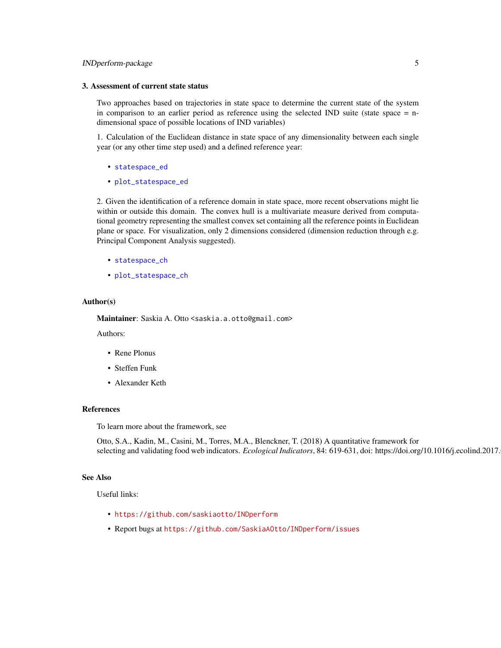# <span id="page-4-0"></span>INDperform-package 5

#### 3. Assessment of current state status

Two approaches based on trajectories in state space to determine the current state of the system in comparison to an earlier period as reference using the selected IND suite (state space = ndimensional space of possible locations of IND variables)

1. Calculation of the Euclidean distance in state space of any dimensionality between each single year (or any other time step used) and a defined reference year:

- [statespace\\_ed](#page-53-1)
- [plot\\_statespace\\_ed](#page-44-1)

2. Given the identification of a reference domain in state space, more recent observations might lie within or outside this domain. The convex hull is a multivariate measure derived from computational geometry representing the smallest convex set containing all the reference points in Euclidean plane or space. For visualization, only 2 dimensions considered (dimension reduction through e.g. Principal Component Analysis suggested).

- [statespace\\_ch](#page-51-1)
- [plot\\_statespace\\_ch](#page-43-1)

#### Author(s)

Maintainer: Saskia A. Otto <saskia.a.otto@gmail.com>

Authors:

- Rene Plonus
- Steffen Funk
- Alexander Keth

# References

To learn more about the framework, see

Otto, S.A., Kadin, M., Casini, M., Torres, M.A., Blenckner, T. (2018) A quantitative framework for selecting and validating food web indicators. *Ecological Indicators*, 84: 619-631, doi: https://doi.org/10.1016/j.ecolind.2017.

#### See Also

Useful links:

- <https://github.com/saskiaotto/INDperform>
- Report bugs at <https://github.com/SaskiaAOtto/INDperform/issues>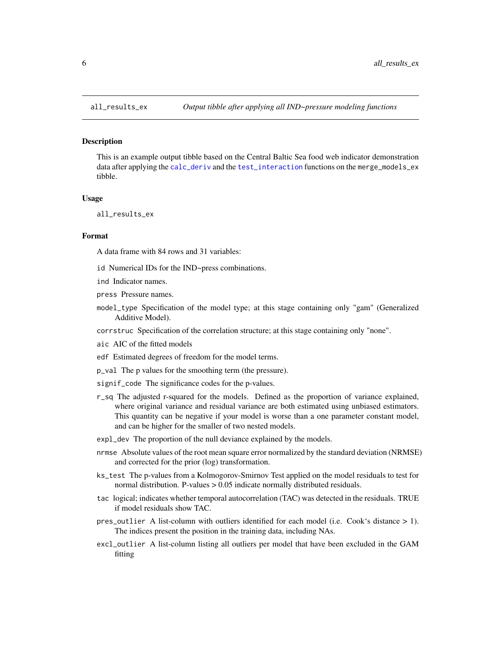#### Description

This is an example output tibble based on the Central Baltic Sea food web indicator demonstration data after applying the [calc\\_deriv](#page-8-1) and the [test\\_interaction](#page-55-1) functions on the merge\_models\_ex tibble.

#### Usage

all\_results\_ex

#### Format

A data frame with 84 rows and 31 variables:

- id Numerical IDs for the IND~press combinations.
- ind Indicator names.
- press Pressure names.
- model\_type Specification of the model type; at this stage containing only "gam" (Generalized Additive Model).
- corrstruc Specification of the correlation structure; at this stage containing only "none".
- aic AIC of the fitted models
- edf Estimated degrees of freedom for the model terms.
- p\_val The p values for the smoothing term (the pressure).
- signif\_code The significance codes for the p-values.
- r\_sq The adjusted r-squared for the models. Defined as the proportion of variance explained, where original variance and residual variance are both estimated using unbiased estimators. This quantity can be negative if your model is worse than a one parameter constant model, and can be higher for the smaller of two nested models.
- expl\_dev The proportion of the null deviance explained by the models.
- nrmse Absolute values of the root mean square error normalized by the standard deviation (NRMSE) and corrected for the prior (log) transformation.
- ks\_test The p-values from a Kolmogorov-Smirnov Test applied on the model residuals to test for normal distribution. P-values > 0.05 indicate normally distributed residuals.
- tac logical; indicates whether temporal autocorrelation (TAC) was detected in the residuals. TRUE if model residuals show TAC.
- pres\_outlier A list-column with outliers identified for each model (i.e. Cook's distance > 1). The indices present the position in the training data, including NAs.
- excl\_outlier A list-column listing all outliers per model that have been excluded in the GAM fitting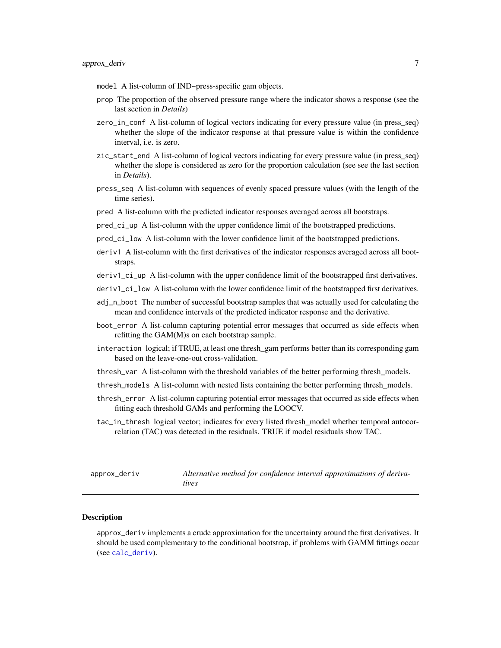- <span id="page-6-0"></span>model A list-column of IND~press-specific gam objects.
- prop The proportion of the observed pressure range where the indicator shows a response (see the last section in *Details*)
- zero\_in\_conf A list-column of logical vectors indicating for every pressure value (in press\_seq) whether the slope of the indicator response at that pressure value is within the confidence interval, i.e. is zero.
- zic\_start\_end A list-column of logical vectors indicating for every pressure value (in press\_seq) whether the slope is considered as zero for the proportion calculation (see see the last section in *Details*).
- press\_seq A list-column with sequences of evenly spaced pressure values (with the length of the time series).
- pred A list-column with the predicted indicator responses averaged across all bootstraps.
- pred\_ci\_up A list-column with the upper confidence limit of the bootstrapped predictions.
- pred\_ci\_low A list-column with the lower confidence limit of the bootstrapped predictions.
- deriv1 A list-column with the first derivatives of the indicator responses averaged across all bootstraps.
- deriv1\_ci\_up A list-column with the upper confidence limit of the bootstrapped first derivatives.
- deriv1\_ci\_low A list-column with the lower confidence limit of the bootstrapped first derivatives.
- adj\_n\_boot The number of successful bootstrap samples that was actually used for calculating the mean and confidence intervals of the predicted indicator response and the derivative.
- boot\_error A list-column capturing potential error messages that occurred as side effects when refitting the GAM(M)s on each bootstrap sample.
- interaction logical; if TRUE, at least one thresh\_gam performs better than its corresponding gam based on the leave-one-out cross-validation.
- thresh\_var A list-column with the threshold variables of the better performing thresh\_models.
- thresh\_models A list-column with nested lists containing the better performing thresh\_models.
- thresh\_error A list-column capturing potential error messages that occurred as side effects when fitting each threshold GAMs and performing the LOOCV.
- tac\_in\_thresh logical vector; indicates for every listed thresh\_model whether temporal autocorrelation (TAC) was detected in the residuals. TRUE if model residuals show TAC.

<span id="page-6-1"></span>

| approx_deriv | Alternative method for confidence interval approximations of deriva- |
|--------------|----------------------------------------------------------------------|
|              | tives                                                                |

#### Description

approx\_deriv implements a crude approximation for the uncertainty around the first derivatives. It should be used complementary to the conditional bootstrap, if problems with GAMM fittings occur (see [calc\\_deriv](#page-8-1)).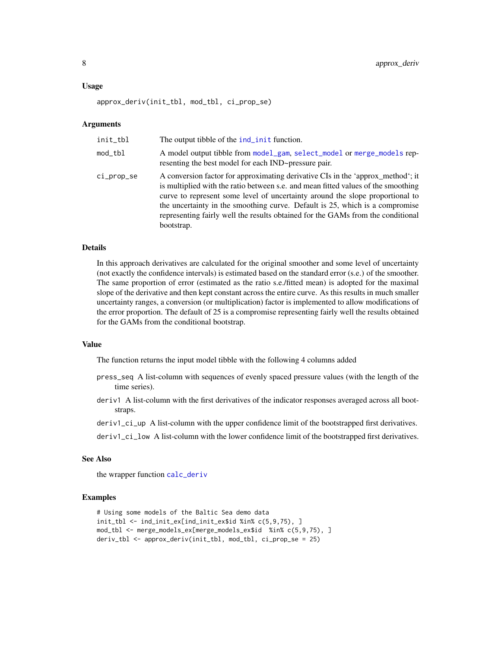#### <span id="page-7-0"></span>Usage

approx\_deriv(init\_tbl, mod\_tbl, ci\_prop\_se)

#### Arguments

| init_tbl   | The output tibble of the ind_init function.                                                                                                                                                                                                                                                                                                                                                                                            |
|------------|----------------------------------------------------------------------------------------------------------------------------------------------------------------------------------------------------------------------------------------------------------------------------------------------------------------------------------------------------------------------------------------------------------------------------------------|
| mod_tbl    | A model output tibble from model_gam, select_model or merge_models rep-<br>resenting the best model for each IND~pressure pair.                                                                                                                                                                                                                                                                                                        |
| ci_prop_se | A conversion factor for approximating derivative CIs in the 'approx_method'; it<br>is multiplied with the ratio between s.e. and mean fitted values of the smoothing<br>curve to represent some level of uncertainty around the slope proportional to<br>the uncertainty in the smoothing curve. Default is 25, which is a compromise<br>representing fairly well the results obtained for the GAMs from the conditional<br>bootstrap. |

# Details

In this approach derivatives are calculated for the original smoother and some level of uncertainty (not exactly the confidence intervals) is estimated based on the standard error (s.e.) of the smoother. The same proportion of error (estimated as the ratio s.e./fitted mean) is adopted for the maximal slope of the derivative and then kept constant across the entire curve. As this results in much smaller uncertainty ranges, a conversion (or multiplication) factor is implemented to allow modifications of the error proportion. The default of 25 is a compromise representing fairly well the results obtained for the GAMs from the conditional bootstrap.

#### Value

The function returns the input model tibble with the following 4 columns added

- press\_seq A list-column with sequences of evenly spaced pressure values (with the length of the time series).
- deriv1 A list-column with the first derivatives of the indicator responses averaged across all bootstraps.
- deriv1\_ci\_up A list-column with the upper confidence limit of the bootstrapped first derivatives.
- deriv1\_ci\_low A list-column with the lower confidence limit of the bootstrapped first derivatives.

# See Also

the wrapper function [calc\\_deriv](#page-8-1)

#### Examples

```
# Using some models of the Baltic Sea demo data
init_tbl <- ind_init_ex[ind_init_ex$id %in% c(5,9,75), ]
mod_tbl <- merge_models_ex[merge_models_ex$id %in% c(5,9,75), ]
deriv_tbl <- approx_deriv(init_tbl, mod_tbl, ci_prop_se = 25)
```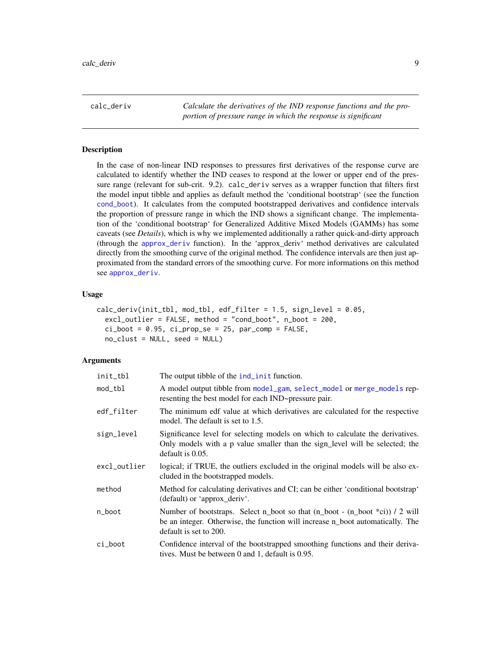<span id="page-8-1"></span><span id="page-8-0"></span>calc\_deriv *Calculate the derivatives of the IND response functions and the proportion of pressure range in which the response is significant*

# **Description**

In the case of non-linear IND responses to pressures first derivatives of the response curve are calculated to identify whether the IND ceases to respond at the lower or upper end of the pressure range (relevant for sub-crit. 9.2). calc\_deriv serves as a wrapper function that filters first the model input tibble and applies as default method the 'conditional bootstrap' (see the function [cond\\_boot](#page-14-1)). It calculates from the computed bootstrapped derivatives and confidence intervals the proportion of pressure range in which the IND shows a significant change. The implementation of the 'conditional bootstrap' for Generalized Additive Mixed Models (GAMMs) has some caveats (see *Details*), which is why we implemented additionally a rather quick-and-dirty approach (through the [approx\\_deriv](#page-6-1) function). In the 'approx\_deriv' method derivatives are calculated directly from the smoothing curve of the original method. The confidence intervals are then just approximated from the standard errors of the smoothing curve. For more informations on this method see [approx\\_deriv](#page-6-1).

#### Usage

```
calc_deriv(init_tbl, mod_tbl, edf_filter = 1.5, sign_level = 0.05,
  excl_outlier = FALSE, method = "cond_boot", n_boot = 200,
  ci\_boot = 0.95, ci\_prop\_se = 25, par\_comp = FALSE,
  no_clust = NULL, seed = NULL)
```
# Arguments

| init_tbl     | The output tibble of the ind_init function.                                                                                                                                                                                 |
|--------------|-----------------------------------------------------------------------------------------------------------------------------------------------------------------------------------------------------------------------------|
| mod_tbl      | A model output tibble from model_gam, select_model or merge_models rep-<br>resenting the best model for each IND~pressure pair.                                                                                             |
| edf_filter   | The minimum edf value at which derivatives are calculated for the respective<br>model. The default is set to 1.5.                                                                                                           |
| sign_level   | Significance level for selecting models on which to calculate the derivatives.<br>Only models with a p value smaller than the sign_level will be selected; the<br>default is $0.05$ .                                       |
| excl_outlier | logical; if TRUE, the outliers excluded in the original models will be also ex-<br>cluded in the bootstrapped models.                                                                                                       |
| method       | Method for calculating derivatives and CI; can be either 'conditional bootstrap'<br>(default) or 'approx deriv'.                                                                                                            |
| n_boot       | Number of bootstraps. Select n_boot so that $(n_{\text{boot}} - (n_{\text{boot}} * c)) / 2$ will<br>be an integer. Otherwise, the function will increase n <sub>rie</sub> boot automatically. The<br>default is set to 200. |
| ci_boot      | Confidence interval of the bootstrapped smoothing functions and their deriva-<br>tives. Must be between 0 and 1, default is 0.95.                                                                                           |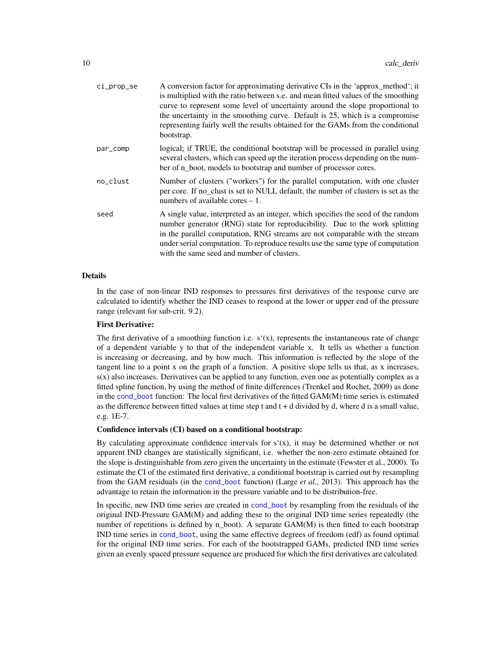<span id="page-9-0"></span>

| A conversion factor for approximating derivative CIs in the 'approx_method'; it<br>is multiplied with the ratio between s.e. and mean fitted values of the smoothing<br>curve to represent some level of uncertainty around the slope proportional to<br>the uncertainty in the smoothing curve. Default is 25, which is a compromise<br>representing fairly well the results obtained for the GAMs from the conditional<br>bootstrap. |
|----------------------------------------------------------------------------------------------------------------------------------------------------------------------------------------------------------------------------------------------------------------------------------------------------------------------------------------------------------------------------------------------------------------------------------------|
| logical; if TRUE, the conditional bootstrap will be processed in parallel using<br>several clusters, which can speed up the iteration process depending on the num-<br>ber of n_boot, models to bootstrap and number of processor cores.                                                                                                                                                                                               |
| Number of clusters ("workers") for the parallel computation, with one cluster<br>per core. If no clust is set to NULL default, the number of clusters is set as the<br>numbers of available cores $-1$ .                                                                                                                                                                                                                               |
| A single value, interpreted as an integer, which specifies the seed of the random<br>number generator (RNG) state for reproducibility. Due to the work splitting<br>in the parallel computation, RNG streams are not comparable with the stream<br>under serial computation. To reproduce results use the same type of computation<br>with the same seed and number of clusters.                                                       |
|                                                                                                                                                                                                                                                                                                                                                                                                                                        |

#### Details

In the case of non-linear IND responses to pressures first derivatives of the response curve are calculated to identify whether the IND ceases to respond at the lower or upper end of the pressure range (relevant for sub-crit. 9.2).

# First Derivative:

The first derivative of a smoothing function i.e.  $s'(x)$ , represents the instantaneous rate of change of a dependent variable y to that of the independent variable x. It tells us whether a function is increasing or decreasing, and by how much. This information is reflected by the slope of the tangent line to a point x on the graph of a function. A positive slope tells us that, as x increases, s(x) also increases. Derivatives can be applied to any function, even one as potentially complex as a fitted spline function, by using the method of finite differences (Trenkel and Rochet, 2009) as done in the [cond\\_boot](#page-14-1) function: The local first derivatives of the fitted GAM(M) time series is estimated as the difference between fitted values at time step t and  $t + d$  divided by d, where d is a small value, e.g. 1E-7.

#### Confidence intervals (CI) based on a conditional bootstrap:

By calculating approximate confidence intervals for  $s'(x)$ , it may be determined whether or not apparent IND changes are statistically significant, i.e. whether the non-zero estimate obtained for the slope is distinguishable from zero given the uncertainty in the estimate (Fewster et al., 2000). To estimate the CI of the estimated first derivative, a conditional bootstrap is carried out by resampling from the GAM residuals (in the [cond\\_boot](#page-14-1) function) (Large *et al.*, 2013). This approach has the advantage to retain the information in the pressure variable and to be distribution-free.

In specific, new IND time series are created in [cond\\_boot](#page-14-1) by resampling from the residuals of the original IND-Pressure GAM(M) and adding these to the original IND time series repeatedly (the number of repetitions is defined by n\_boot). A separate  $GAM(M)$  is then fitted to each bootstrap IND time series in [cond\\_boot](#page-14-1), using the same effective degrees of freedom (edf) as found optimal for the original IND time series. For each of the bootstrapped GAMs, predicted IND time series given an evenly spaced pressure sequence are produced for which the first derivatives are calculated.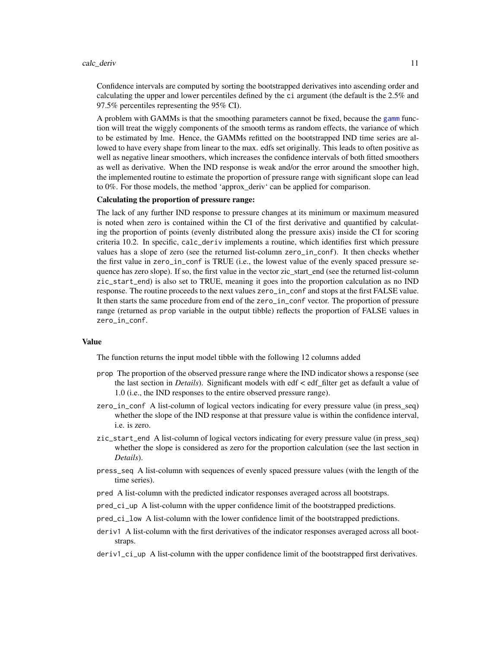#### <span id="page-10-0"></span>calc\_deriv 11

Confidence intervals are computed by sorting the bootstrapped derivatives into ascending order and calculating the upper and lower percentiles defined by the ci argument (the default is the 2.5% and 97.5% percentiles representing the 95% CI).

A problem with GAMMs is that the smoothing parameters cannot be fixed, because the [gamm](#page-0-0) function will treat the wiggly components of the smooth terms as random effects, the variance of which to be estimated by lme. Hence, the GAMMs refitted on the bootstrapped IND time series are allowed to have every shape from linear to the max. edfs set originally. This leads to often positive as well as negative linear smoothers, which increases the confidence intervals of both fitted smoothers as well as derivative. When the IND response is weak and/or the error around the smoother high, the implemented routine to estimate the proportion of pressure range with significant slope can lead to 0%. For those models, the method 'approx\_deriv' can be applied for comparison.

# Calculating the proportion of pressure range:

The lack of any further IND response to pressure changes at its minimum or maximum measured is noted when zero is contained within the CI of the first derivative and quantified by calculating the proportion of points (evenly distributed along the pressure axis) inside the CI for scoring criteria 10.2. In specific, calc\_deriv implements a routine, which identifies first which pressure values has a slope of zero (see the returned list-column zero\_in\_conf). It then checks whether the first value in zero\_in\_conf is TRUE (i.e., the lowest value of the evenly spaced pressure sequence has zero slope). If so, the first value in the vector zic\_start\_end (see the returned list-column zic\_start\_end) is also set to TRUE, meaning it goes into the proportion calculation as no IND response. The routine proceeds to the next values zero\_in\_conf and stops at the first FALSE value. It then starts the same procedure from end of the zero\_in\_conf vector. The proportion of pressure range (returned as prop variable in the output tibble) reflects the proportion of FALSE values in zero\_in\_conf.

# Value

The function returns the input model tibble with the following 12 columns added

- prop The proportion of the observed pressure range where the IND indicator shows a response (see the last section in *Details*). Significant models with edf < edf\_filter get as default a value of 1.0 (i.e., the IND responses to the entire observed pressure range).
- zero\_in\_conf A list-column of logical vectors indicating for every pressure value (in press\_seq) whether the slope of the IND response at that pressure value is within the confidence interval, i.e. is zero.
- zic\_start\_end A list-column of logical vectors indicating for every pressure value (in press\_seq) whether the slope is considered as zero for the proportion calculation (see the last section in *Details*).
- press\_seq A list-column with sequences of evenly spaced pressure values (with the length of the time series).
- pred A list-column with the predicted indicator responses averaged across all bootstraps.
- pred\_ci\_up A list-column with the upper confidence limit of the bootstrapped predictions.
- pred\_ci\_low A list-column with the lower confidence limit of the bootstrapped predictions.
- deriv1 A list-column with the first derivatives of the indicator responses averaged across all bootstraps.
- deriv1\_ci\_up A list-column with the upper confidence limit of the bootstrapped first derivatives.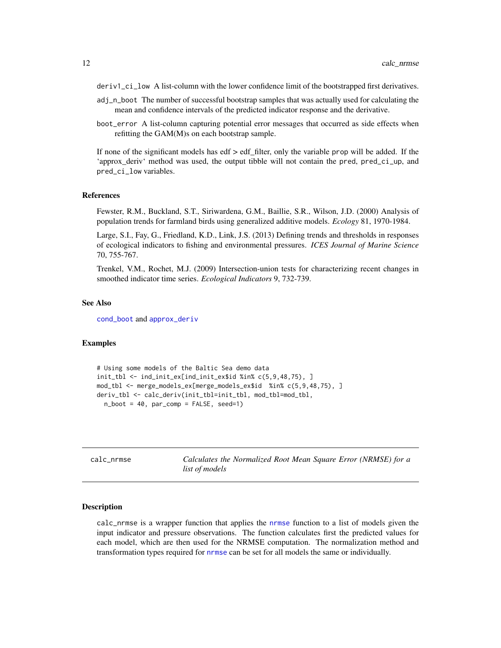- <span id="page-11-0"></span>deriv1\_ci\_low A list-column with the lower confidence limit of the bootstrapped first derivatives.
- adj\_n\_boot The number of successful bootstrap samples that was actually used for calculating the mean and confidence intervals of the predicted indicator response and the derivative.
- boot\_error A list-column capturing potential error messages that occurred as side effects when refitting the GAM(M)s on each bootstrap sample.

If none of the significant models has edf  $>$  edf filter, only the variable prop will be added. If the 'approx\_deriv' method was used, the output tibble will not contain the pred, pred\_ci\_up, and pred\_ci\_low variables.

#### References

Fewster, R.M., Buckland, S.T., Siriwardena, G.M., Baillie, S.R., Wilson, J.D. (2000) Analysis of population trends for farmland birds using generalized additive models. *Ecology* 81, 1970-1984.

Large, S.I., Fay, G., Friedland, K.D., Link, J.S. (2013) Defining trends and thresholds in responses of ecological indicators to fishing and environmental pressures. *ICES Journal of Marine Science* 70, 755-767.

Trenkel, V.M., Rochet, M.J. (2009) Intersection-union tests for characterizing recent changes in smoothed indicator time series. *Ecological Indicators* 9, 732-739.

#### See Also

[cond\\_boot](#page-14-1) and [approx\\_deriv](#page-6-1)

# Examples

```
# Using some models of the Baltic Sea demo data
init_tbl <- ind_init_ex[ind_init_ex$id %in% c(5,9,48,75), ]
mod_tbl <- merge_models_ex[merge_models_ex$id %in% c(5,9,48,75), ]
deriv_tbl <- calc_deriv(init_tbl=init_tbl, mod_tbl=mod_tbl,
 n\_boot = 40, par\_comp = FALSE, seed=1)
```
<span id="page-11-1"></span>calc\_nrmse *Calculates the Normalized Root Mean Square Error (NRMSE) for a list of models*

# **Description**

calc\_nrmse is a wrapper function that applies the [nrmse](#page-35-1) function to a list of models given the input indicator and pressure observations. The function calculates first the predicted values for each model, which are then used for the NRMSE computation. The normalization method and transformation types required for [nrmse](#page-35-1) can be set for all models the same or individually.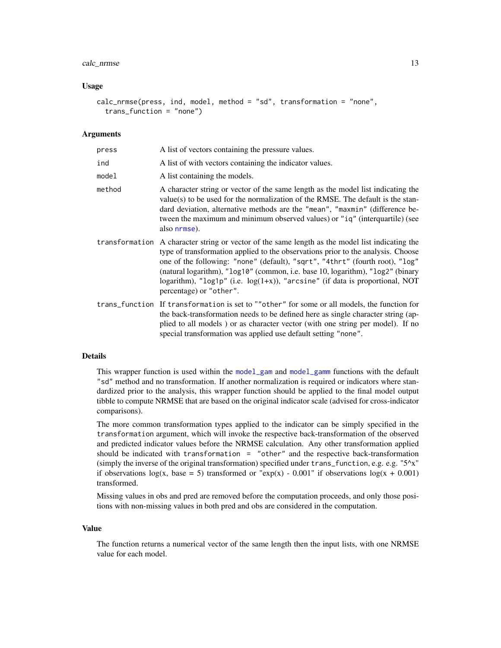# <span id="page-12-0"></span>calc\_nrmse 13

#### Usage

```
calc_nrmse(press, ind, model, method = "sd", transformation = "none",
  trans_function = "none")
```
# **Arguments**

| press  | A list of vectors containing the pressure values.                                                                                                                                                                                                                                                                                                                                                                                                                   |
|--------|---------------------------------------------------------------------------------------------------------------------------------------------------------------------------------------------------------------------------------------------------------------------------------------------------------------------------------------------------------------------------------------------------------------------------------------------------------------------|
| ind    | A list of with vectors containing the indicator values.                                                                                                                                                                                                                                                                                                                                                                                                             |
| model  | A list containing the models.                                                                                                                                                                                                                                                                                                                                                                                                                                       |
| method | A character string or vector of the same length as the model list indicating the<br>value(s) to be used for the normalization of the RMSE. The default is the stan-<br>dard deviation, alternative methods are the "mean", "maxmin" (difference be-<br>tween the maximum and minimum observed values) or "iq" (interquartile) (see<br>also nrmse).                                                                                                                  |
|        | transformation A character string or vector of the same length as the model list indicating the<br>type of transformation applied to the observations prior to the analysis. Choose<br>one of the following: "none" (default), "sqrt", "4thrt" (fourth root), "log"<br>(natural logarithm), "log10" (common, i.e. base 10, logarithm), "log2" (binary<br>logarithm), "log1p" (i.e. $log(1+x)$ ), "arcsine" (if data is proportional, NOT<br>percentage) or "other". |
|        | trans_function If transformation is set to ""other" for some or all models, the function for<br>the back-transformation needs to be defined here as single character string (ap-<br>plied to all models) or as character vector (with one string per model). If no<br>special transformation was applied use default setting "none".                                                                                                                                |

#### Details

This wrapper function is used within the [model\\_gam](#page-26-1) and [model\\_gamm](#page-29-1) functions with the default "sd" method and no transformation. If another normalization is required or indicators where standardized prior to the analysis, this wrapper function should be applied to the final model output tibble to compute NRMSE that are based on the original indicator scale (advised for cross-indicator comparisons).

The more common transformation types applied to the indicator can be simply specified in the transformation argument, which will invoke the respective back-transformation of the observed and predicted indicator values before the NRMSE calculation. Any other transformation applied should be indicated with transformation = "other" and the respective back-transformation (simply the inverse of the original transformation) specified under trans\_function, e.g. e.g. "5^x" if observations  $log(x, base = 5)$  transformed or "exp(x) - 0.001" if observations  $log(x + 0.001)$ transformed.

Missing values in obs and pred are removed before the computation proceeds, and only those positions with non-missing values in both pred and obs are considered in the computation.

#### Value

The function returns a numerical vector of the same length then the input lists, with one NRMSE value for each model.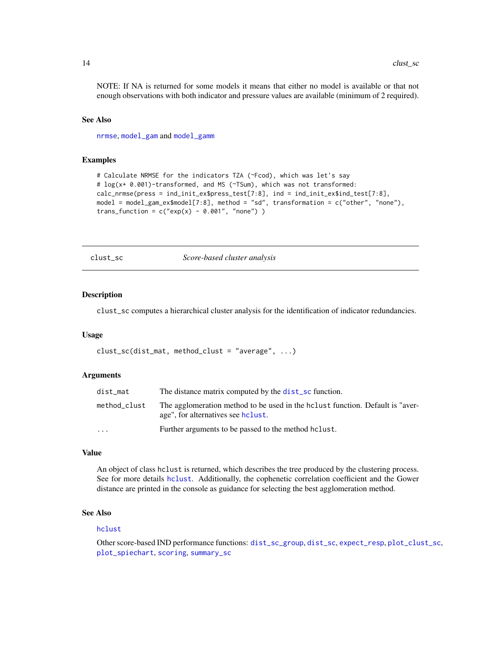<span id="page-13-0"></span>NOTE: If NA is returned for some models it means that either no model is available or that not enough observations with both indicator and pressure values are available (minimum of 2 required).

#### See Also

[nrmse](#page-35-1), [model\\_gam](#page-26-1) and [model\\_gamm](#page-29-1)

### Examples

```
# Calculate NRMSE for the indicators TZA (~Fcod), which was let's say
# log(x+ 0.001)-transformed, and MS (~TSum), which was not transformed:
calc_nrmse(press = ind_init_ex$press_test[7:8], ind = ind_init_ex$ind_test[7:8],
model = model_gam_ex$model[7:8], method = "sd", transformation = c("other", "none"),
trans_function = c("exp(x) - 0.001", "none"))
```
<span id="page-13-1"></span>clust\_sc *Score-based cluster analysis*

#### Description

clust\_sc computes a hierarchical cluster analysis for the identification of indicator redundancies.

#### Usage

 $clust_sc(dist_matrix, method_clust = "average", ...)$ 

#### **Arguments**

| dist mat                | The distance matrix computed by the dist_sc function.                                                                |
|-------------------------|----------------------------------------------------------------------------------------------------------------------|
| method_clust            | The agglomeration method to be used in the holiest function. Default is "aver-<br>age", for alternatives see holust. |
| $\cdot$ $\cdot$ $\cdot$ | Further arguments to be passed to the method holast.                                                                 |

#### Value

An object of class hclust is returned, which describes the tree produced by the clustering process. See for more details [hclust](#page-0-0). Additionally, the cophenetic correlation coefficient and the Gower distance are printed in the console as guidance for selecting the best agglomeration method.

# See Also

#### [hclust](#page-0-0)

Other score-based IND performance functions: [dist\\_sc\\_group](#page-18-1), [dist\\_sc](#page-17-1), [expect\\_resp](#page-19-1), [plot\\_clust\\_sc](#page-36-1), [plot\\_spiechart](#page-41-1), [scoring](#page-47-1), [summary\\_sc](#page-54-1)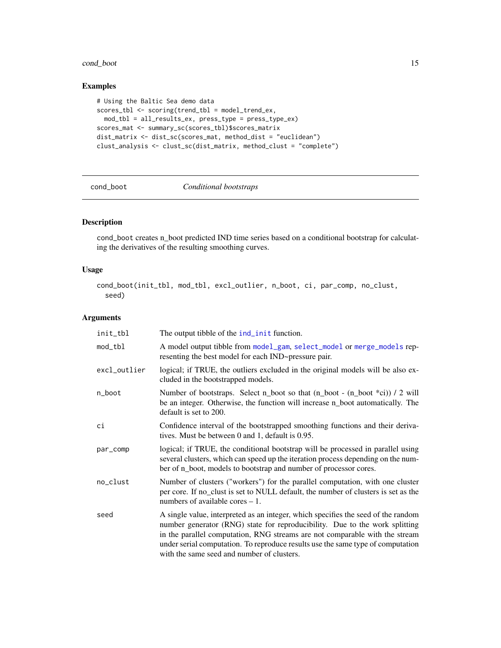# <span id="page-14-0"></span>cond\_boot 15

# Examples

```
# Using the Baltic Sea demo data
scores_tbl <- scoring(trend_tbl = model_trend_ex,
 mod_tbl = all_results_ex, press_type = press_type_ex)
scores_mat <- summary_sc(scores_tbl)$scores_matrix
dist_matrix <- dist_sc(scores_mat, method_dist = "euclidean")
clust_analysis <- clust_sc(dist_matrix, method_clust = "complete")
```
<span id="page-14-1"></span>

#### cond\_boot *Conditional bootstraps*

# Description

cond\_boot creates n\_boot predicted IND time series based on a conditional bootstrap for calculating the derivatives of the resulting smoothing curves.

# Usage

cond\_boot(init\_tbl, mod\_tbl, excl\_outlier, n\_boot, ci, par\_comp, no\_clust, seed)

# Arguments

| init_tbl     | The output tibble of the ind_init function.                                                                                                                                                                                                                                                                                                                                      |
|--------------|----------------------------------------------------------------------------------------------------------------------------------------------------------------------------------------------------------------------------------------------------------------------------------------------------------------------------------------------------------------------------------|
| mod_tbl      | A model output tibble from model_gam, select_model or merge_models rep-<br>resenting the best model for each IND~pressure pair.                                                                                                                                                                                                                                                  |
| excl_outlier | logical; if TRUE, the outliers excluded in the original models will be also ex-<br>cluded in the bootstrapped models.                                                                                                                                                                                                                                                            |
| n_boot       | Number of bootstraps. Select n_boot so that (n_boot - (n_boot *ci)) / 2 will<br>be an integer. Otherwise, the function will increase n_boot automatically. The<br>default is set to 200.                                                                                                                                                                                         |
| сi           | Confidence interval of the bootstrapped smoothing functions and their deriva-<br>tives. Must be between 0 and 1, default is 0.95.                                                                                                                                                                                                                                                |
| par_comp     | logical; if TRUE, the conditional bootstrap will be processed in parallel using<br>several clusters, which can speed up the iteration process depending on the num-<br>ber of n_boot, models to bootstrap and number of processor cores.                                                                                                                                         |
| no_clust     | Number of clusters ("workers") for the parallel computation, with one cluster<br>per core. If no_clust is set to NULL default, the number of clusters is set as the<br>numbers of available cores $-1$ .                                                                                                                                                                         |
| seed         | A single value, interpreted as an integer, which specifies the seed of the random<br>number generator (RNG) state for reproducibility. Due to the work splitting<br>in the parallel computation, RNG streams are not comparable with the stream<br>under serial computation. To reproduce results use the same type of computation<br>with the same seed and number of clusters. |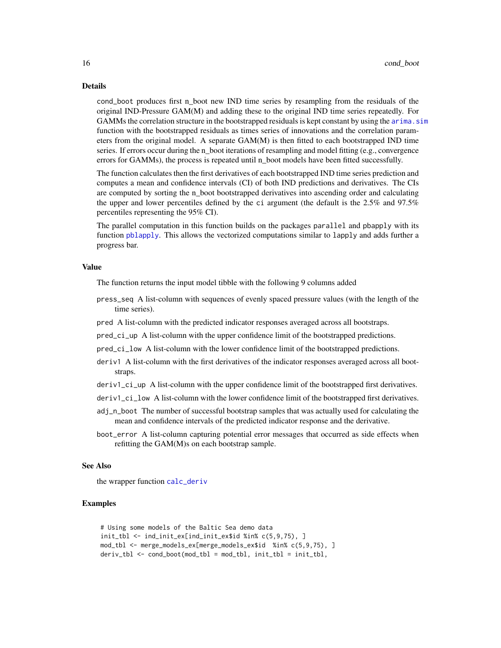#### <span id="page-15-0"></span>Details

cond\_boot produces first n\_boot new IND time series by resampling from the residuals of the original IND-Pressure GAM(M) and adding these to the original IND time series repeatedly. For GAMMs the correlation structure in the bootstrapped residuals is kept constant by using the arima. sim function with the bootstrapped residuals as times series of innovations and the correlation parameters from the original model. A separate GAM(M) is then fitted to each bootstrapped IND time series. If errors occur during the n boot iterations of resampling and model fitting (e.g., convergence errors for GAMMs), the process is repeated until n\_boot models have been fitted successfully.

The function calculates then the first derivatives of each bootstrapped IND time series prediction and computes a mean and confidence intervals (CI) of both IND predictions and derivatives. The CIs are computed by sorting the n\_boot bootstrapped derivatives into ascending order and calculating the upper and lower percentiles defined by the ci argument (the default is the 2.5% and 97.5% percentiles representing the 95% CI).

The parallel computation in this function builds on the packages parallel and pbapply with its function [pblapply](#page-0-0). This allows the vectorized computations similar to lapply and adds further a progress bar.

#### Value

The function returns the input model tibble with the following 9 columns added

- press\_seq A list-column with sequences of evenly spaced pressure values (with the length of the time series).
- pred A list-column with the predicted indicator responses averaged across all bootstraps.
- pred\_ci\_up A list-column with the upper confidence limit of the bootstrapped predictions.
- pred\_ci\_low A list-column with the lower confidence limit of the bootstrapped predictions.
- deriv1 A list-column with the first derivatives of the indicator responses averaged across all bootstraps.
- deriv1\_ci\_up A list-column with the upper confidence limit of the bootstrapped first derivatives.
- deriv1\_ci\_low A list-column with the lower confidence limit of the bootstrapped first derivatives.
- adj\_n\_boot The number of successful bootstrap samples that was actually used for calculating the mean and confidence intervals of the predicted indicator response and the derivative.
- boot\_error A list-column capturing potential error messages that occurred as side effects when refitting the GAM(M)s on each bootstrap sample.

#### See Also

the wrapper function [calc\\_deriv](#page-8-1)

# **Examples**

```
# Using some models of the Baltic Sea demo data
init_tbl <- ind_init_ex[ind_init_ex$id %in% c(5,9,75), ]
mod_tbl <- merge_models_ex[merge_models_ex$id %in% c(5,9,75), ]
deriv_tbl <- cond_boot(mod_tbl = mod_tbl, init_tbl = init_tbl,
```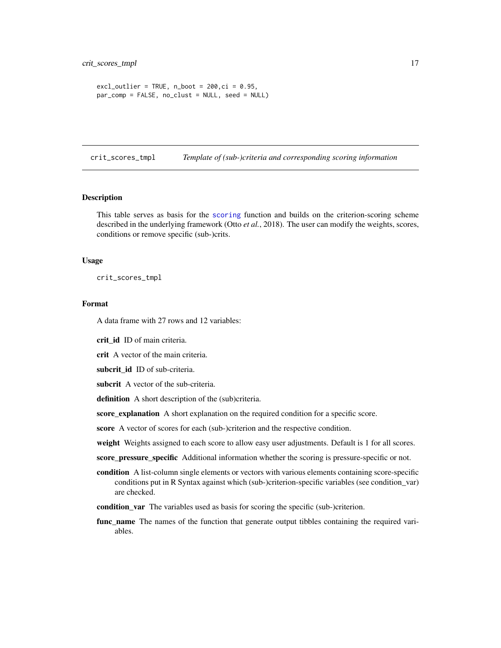```
excl_utlier = TRUE, n_boot = 200, ci = 0.95,
par_comp = FALSE, no_clust = NULL, seed = NULL)
```
<span id="page-16-1"></span>crit\_scores\_tmpl *Template of (sub-)criteria and corresponding scoring information*

#### Description

This table serves as basis for the [scoring](#page-47-1) function and builds on the criterion-scoring scheme described in the underlying framework (Otto *et al.*, 2018). The user can modify the weights, scores, conditions or remove specific (sub-)crits.

#### Usage

crit\_scores\_tmpl

#### Format

A data frame with 27 rows and 12 variables:

crit\_id ID of main criteria.

crit A vector of the main criteria.

subcrit\_id ID of sub-criteria.

subcrit A vector of the sub-criteria.

definition A short description of the (sub)criteria.

score\_explanation A short explanation on the required condition for a specific score.

score A vector of scores for each (sub-)criterion and the respective condition.

weight Weights assigned to each score to allow easy user adjustments. Default is 1 for all scores.

score\_pressure\_specific Additional information whether the scoring is pressure-specific or not.

- condition A list-column single elements or vectors with various elements containing score-specific conditions put in R Syntax against which (sub-)criterion-specific variables (see condition\_var) are checked.
- condition\_var The variables used as basis for scoring the specific (sub-)criterion.
- func\_name The names of the function that generate output tibbles containing the required variables.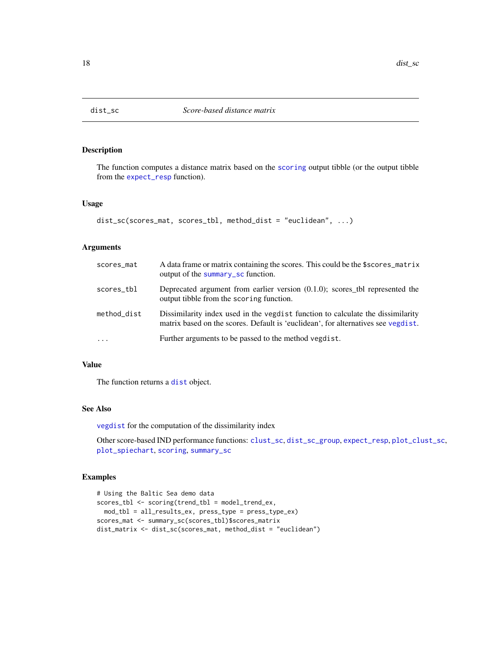<span id="page-17-1"></span><span id="page-17-0"></span>

# Description

The function computes a distance matrix based on the [scoring](#page-47-1) output tibble (or the output tibble from the [expect\\_resp](#page-19-1) function).

# Usage

```
dist_sc(scores_mat, scores_tbl, method_dist = "euclidean", ...)
```
# Arguments

| scores_mat  | A data frame or matrix containing the scores. This could be the \$scores_matrix<br>output of the summary sc function.                                                |
|-------------|----------------------------------------------------------------------------------------------------------------------------------------------------------------------|
| scores_tbl  | Deprecated argument from earlier version $(0.1.0)$ ; scores_tbl represented the<br>output tibble from the scoring function.                                          |
| method_dist | Dissimilarity index used in the veglest function to calculate the dissimilarity<br>matrix based on the scores. Default is 'euclidean', for alternatives see vegdist. |
| $\ddotsc$   | Further arguments to be passed to the method vegdist.                                                                                                                |

# Value

The function returns a [dist](#page-0-0) object.

### See Also

[vegdist](#page-0-0) for the computation of the dissimilarity index

Other score-based IND performance functions: [clust\\_sc](#page-13-1), [dist\\_sc\\_group](#page-18-1), [expect\\_resp](#page-19-1), [plot\\_clust\\_sc](#page-36-1), [plot\\_spiechart](#page-41-1), [scoring](#page-47-1), [summary\\_sc](#page-54-1)

# Examples

```
# Using the Baltic Sea demo data
scores_tbl <- scoring(trend_tbl = model_trend_ex,
 mod_tbl = all_results_ex, press_type = press_type_ex)
scores_mat <- summary_sc(scores_tbl)$scores_matrix
dist_matrix <- dist_sc(scores_mat, method_dist = "euclidean")
```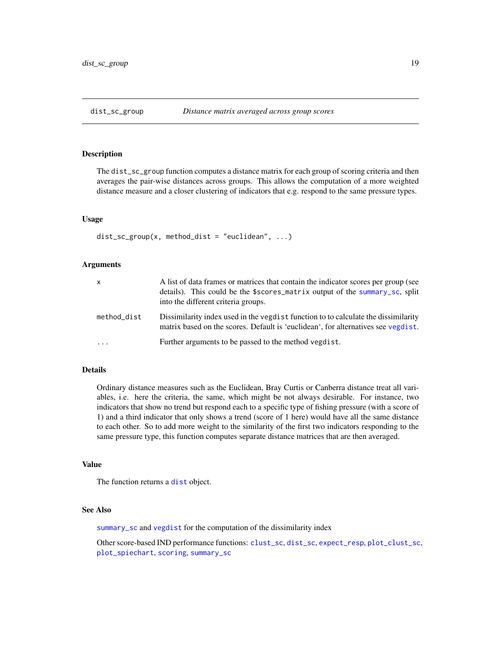#### <span id="page-18-1"></span><span id="page-18-0"></span>Description

The dist\_sc\_group function computes a distance matrix for each group of scoring criteria and then averages the pair-wise distances across groups. This allows the computation of a more weighted distance measure and a closer clustering of indicators that e.g. respond to the same pressure types.

# Usage

```
dist\_sc\_group(x, method\_dist = "euclidean", ...)
```
#### Arguments

| X           | A list of data frames or matrices that contain the indicator scores per group (see<br>details). This could be the \$scores_matrix output of the summary_sc, split<br>into the different criteria groups. |
|-------------|----------------------------------------------------------------------------------------------------------------------------------------------------------------------------------------------------------|
| method_dist | Dissimilarity index used in the vegdist function to to calculate the dissimilarity<br>matrix based on the scores. Default is 'euclidean', for alternatives see vegdist.                                  |
| $\cdots$    | Further arguments to be passed to the method vegdist.                                                                                                                                                    |

# Details

Ordinary distance measures such as the Euclidean, Bray Curtis or Canberra distance treat all variables, i.e. here the criteria, the same, which might be not always desirable. For instance, two indicators that show no trend but respond each to a specific type of fishing pressure (with a score of 1) and a third indicator that only shows a trend (score of 1 here) would have all the same distance to each other. So to add more weight to the similarity of the first two indicators responding to the same pressure type, this function computes separate distance matrices that are then averaged.

#### Value

The function returns a [dist](#page-0-0) object.

## See Also

[summary\\_sc](#page-54-1) and [vegdist](#page-0-0) for the computation of the dissimilarity index

Other score-based IND performance functions: [clust\\_sc](#page-13-1), [dist\\_sc](#page-17-1), [expect\\_resp](#page-19-1), [plot\\_clust\\_sc](#page-36-1), [plot\\_spiechart](#page-41-1), [scoring](#page-47-1), [summary\\_sc](#page-54-1)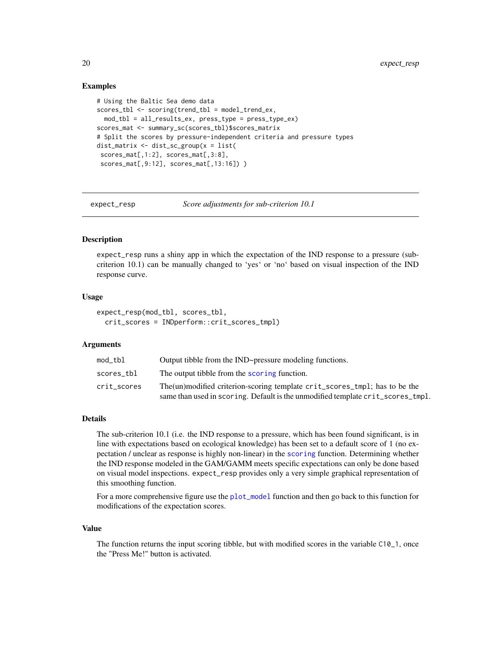# Examples

```
# Using the Baltic Sea demo data
scores_tbl <- scoring(trend_tbl = model_trend_ex,
 mod_tbl = all_results_ex, press_type = press_type_ex)
scores_mat <- summary_sc(scores_tbl)$scores_matrix
# Split the scores by pressure-independent criteria and pressure types
dist_matrix <- dist_sc_group(x = list(
 scores_mat[,1:2], scores_mat[,3:8],
 scores_mat[,9:12], scores_mat[,13:16]) )
```
<span id="page-19-1"></span>

expect\_resp *Score adjustments for sub-criterion 10.1*

# Description

expect\_resp runs a shiny app in which the expectation of the IND response to a pressure (subcriterion 10.1) can be manually changed to 'yes' or 'no' based on visual inspection of the IND response curve.

# Usage

```
expect_resp(mod_tbl, scores_tbl,
  crit_scores = INDperform::crit_scores_tmpl)
```
#### Arguments

| mod tbl     | Output tibble from the IND~pressure modeling functions.                                                                                                        |
|-------------|----------------------------------------------------------------------------------------------------------------------------------------------------------------|
| scores tbl  | The output tibble from the scoring function.                                                                                                                   |
| crit_scores | The (un)modified criterion-scoring template crit_scores_tmp1; has to be the<br>same than used in scoring. Default is the unmodified template crit_scores_tmpl. |
|             |                                                                                                                                                                |

# Details

The sub-criterion 10.1 (i.e. the IND response to a pressure, which has been found significant, is in line with expectations based on ecological knowledge) has been set to a default score of 1 (no expectation / unclear as response is highly non-linear) in the [scoring](#page-47-1) function. Determining whether the IND response modeled in the GAM/GAMM meets specific expectations can only be done based on visual model inspections. expect\_resp provides only a very simple graphical representation of this smoothing function.

For a more comprehensive figure use the [plot\\_model](#page-39-1) function and then go back to this function for modifications of the expectation scores.

#### Value

The function returns the input scoring tibble, but with modified scores in the variable C10\_1, once the "Press Me!" button is activated.

<span id="page-19-0"></span>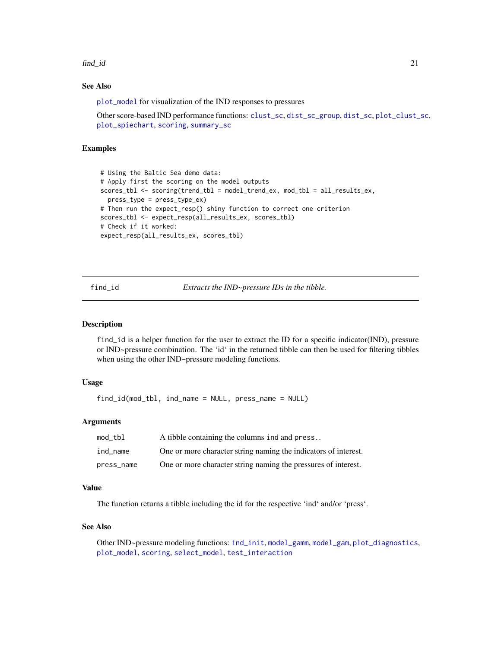<span id="page-20-0"></span>find\_id 21

# See Also

[plot\\_model](#page-39-1) for visualization of the IND responses to pressures

Other score-based IND performance functions: [clust\\_sc](#page-13-1), [dist\\_sc\\_group](#page-18-1), [dist\\_sc](#page-17-1), [plot\\_clust\\_sc](#page-36-1), [plot\\_spiechart](#page-41-1), [scoring](#page-47-1), [summary\\_sc](#page-54-1)

# Examples

```
# Using the Baltic Sea demo data:
# Apply first the scoring on the model outputs
scores_tbl <- scoring(trend_tbl = model_trend_ex, mod_tbl = all_results_ex,
 press_type = press_type_ex)
# Then run the expect_resp() shiny function to correct one criterion
scores_tbl <- expect_resp(all_results_ex, scores_tbl)
# Check if it worked:
expect_resp(all_results_ex, scores_tbl)
```
<span id="page-20-1"></span>find\_id *Extracts the IND~pressure IDs in the tibble.*

#### Description

find\_id is a helper function for the user to extract the ID for a specific indicator(IND), pressure or IND~pressure combination. The 'id' in the returned tibble can then be used for filtering tibbles when using the other IND~pressure modeling functions.

# Usage

find\_id(mod\_tbl, ind\_name = NULL, press\_name = NULL)

# Arguments

| mod_tbl    | A tibble containing the columns ind and press                   |
|------------|-----------------------------------------------------------------|
| ind name   | One or more character string naming the indicators of interest. |
| press_name | One or more character string naming the pressures of interest.  |

#### Value

The function returns a tibble including the id for the respective 'ind' and/or 'press'.

#### See Also

Other IND~pressure modeling functions: [ind\\_init](#page-22-1), [model\\_gamm](#page-29-1), [model\\_gam](#page-26-1), [plot\\_diagnostics](#page-37-1), [plot\\_model](#page-39-1), [scoring](#page-47-1), [select\\_model](#page-50-1), [test\\_interaction](#page-55-1)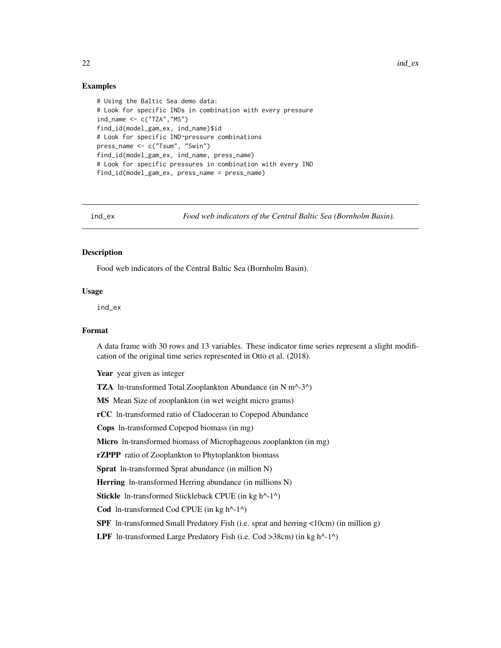# <span id="page-21-0"></span>Examples

```
# Using the Baltic Sea demo data:
# Look for specific INDs in combination with every pressure
ind_name <- c("TZA","MS")
find_id(model_gam_ex, ind_name)$id
# Look for specific IND~pressure combinations
press_name <- c("Tsum", "Swin")
find_id(model_gam_ex, ind_name, press_name)
# Look for specific pressures in combination with every IND
find_id(model_gam_ex, press_name = press_name)
```
ind\_ex *Food web indicators of the Central Baltic Sea (Bornholm Basin).*

# Description

Food web indicators of the Central Baltic Sea (Bornholm Basin).

#### Usage

ind\_ex

#### Format

A data frame with 30 rows and 13 variables. These indicator time series represent a slight modification of the original time series represented in Otto et al. (2018).

Year year given as integer

TZA ln-transformed Total Zooplankton Abundance (in N m^-3^)

MS Mean Size of zooplankton (in wet weight micro grams)

rCC ln-transformed ratio of Cladoceran to Copepod Abundance

Cops ln-transformed Copepod biomass (in mg)

Micro ln-transformed biomass of Microphageous zooplankton (in mg)

rZPPP ratio of Zooplankton to Phytoplankton biomass

Sprat ln-transformed Sprat abundance (in million N)

Herring ln-transformed Herring abundance (in millions N)

Stickle ln-transformed Stickleback CPUE (in kg h^-1^)

Cod ln-transformed Cod CPUE (in kg h^-1^)

SPF ln-transformed Small Predatory Fish (i.e. sprat and herring <10cm) (in million g)

LPF In-transformed Large Predatory Fish (i.e. Cod >38cm) (in kg  $h^{\wedge}$ -1^)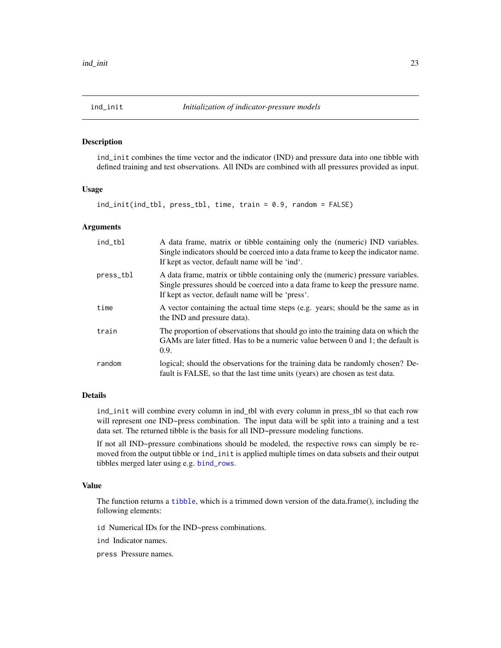<span id="page-22-1"></span><span id="page-22-0"></span>

#### Description

ind\_init combines the time vector and the indicator (IND) and pressure data into one tibble with defined training and test observations. All INDs are combined with all pressures provided as input.

# Usage

ind\_init(ind\_tbl, press\_tbl, time, train = 0.9, random = FALSE)

#### Arguments

| ind_tbl   | A data frame, matrix or tibble containing only the (numeric) IND variables.<br>Single indicators should be coerced into a data frame to keep the indicator name.<br>If kept as vector, default name will be 'ind'.      |
|-----------|-------------------------------------------------------------------------------------------------------------------------------------------------------------------------------------------------------------------------|
| press_tbl | A data frame, matrix or tibble containing only the (numeric) pressure variables.<br>Single pressures should be coerced into a data frame to keep the pressure name.<br>If kept as vector, default name will be 'press'. |
| time      | A vector containing the actual time steps (e.g. years; should be the same as in<br>the IND and pressure data).                                                                                                          |
| train     | The proportion of observations that should go into the training data on which the<br>GAMs are later fitted. Has to be a numeric value between 0 and 1; the default is<br>0.9.                                           |
| random    | logical; should the observations for the training data be randomly chosen? De-<br>fault is FALSE, so that the last time units (years) are chosen as test data.                                                          |

# Details

ind\_init will combine every column in ind\_tbl with every column in press\_tbl so that each row will represent one IND~press combination. The input data will be split into a training and a test data set. The returned tibble is the basis for all IND~pressure modeling functions.

If not all IND~pressure combinations should be modeled, the respective rows can simply be removed from the output tibble or ind\_init is applied multiple times on data subsets and their output tibbles merged later using e.g. [bind\\_rows](#page-0-0).

# Value

The function returns a [tibble](#page-0-0), which is a trimmed down version of the data.frame(), including the following elements:

id Numerical IDs for the IND~press combinations.

ind Indicator names.

press Pressure names.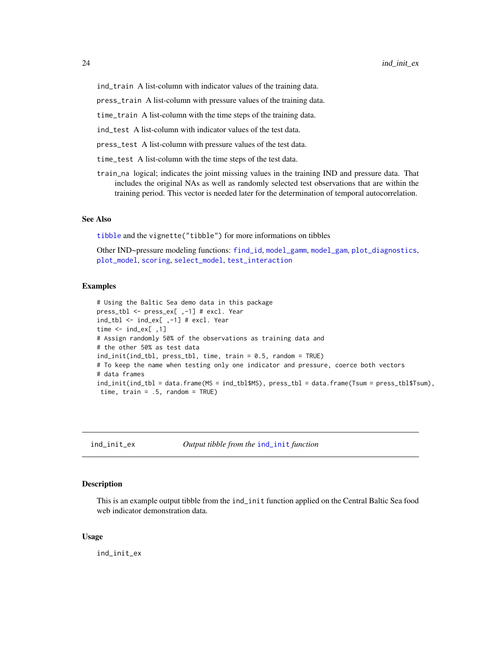<span id="page-23-0"></span>press\_train A list-column with pressure values of the training data.

time\_train A list-column with the time steps of the training data.

ind\_test A list-column with indicator values of the test data.

press\_test A list-column with pressure values of the test data.

- time\_test A list-column with the time steps of the test data.
- train\_na logical; indicates the joint missing values in the training IND and pressure data. That includes the original NAs as well as randomly selected test observations that are within the training period. This vector is needed later for the determination of temporal autocorrelation.

#### See Also

[tibble](#page-0-0) and the vignette("tibble") for more informations on tibbles

Other IND~pressure modeling functions: [find\\_id](#page-20-1), [model\\_gamm](#page-29-1), [model\\_gam](#page-26-1), [plot\\_diagnostics](#page-37-1), [plot\\_model](#page-39-1), [scoring](#page-47-1), [select\\_model](#page-50-1), [test\\_interaction](#page-55-1)

# Examples

```
# Using the Baltic Sea demo data in this package
press_tbl <- press_ex[ ,-1] # excl. Year
ind_tbl <- ind_ex[ ,-1] # excl. Year
time <- ind_ex[ ,1]
# Assign randomly 50% of the observations as training data and
# the other 50% as test data
ind_init(ind_tbl, press_tbl, time, train = 0.5, random = TRUE)
# To keep the name when testing only one indicator and pressure, coerce both vectors
# data frames
ind_init(ind_tbl = data.frame(MS = ind_tbl$MS), press_tbl = data.frame(Tsum = press_tbl$Tsum),
 time, train = .5, random = TRUE)
```
ind\_init\_ex *Output tibble from the* [ind\\_init](#page-22-1) *function*

#### Description

This is an example output tibble from the ind\_init function applied on the Central Baltic Sea food web indicator demonstration data.

#### Usage

ind\_init\_ex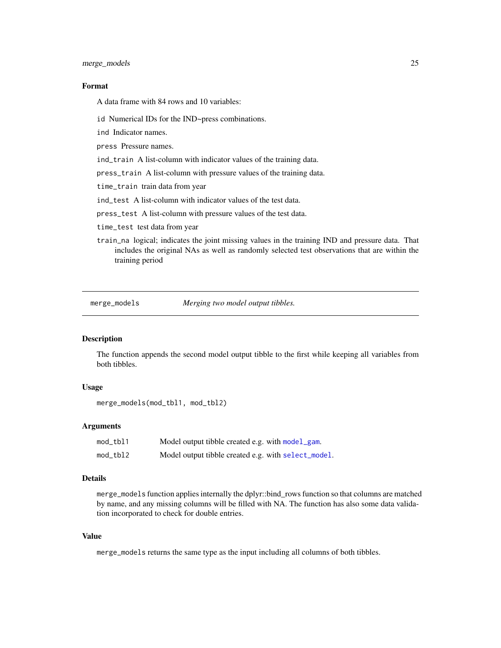<span id="page-24-0"></span>merge\_models 25

# Format

A data frame with 84 rows and 10 variables:

id Numerical IDs for the IND~press combinations.

ind Indicator names.

press Pressure names.

ind\_train A list-column with indicator values of the training data.

press\_train A list-column with pressure values of the training data.

time\_train train data from year

ind\_test A list-column with indicator values of the test data.

press\_test A list-column with pressure values of the test data.

time\_test test data from year

train\_na logical; indicates the joint missing values in the training IND and pressure data. That includes the original NAs as well as randomly selected test observations that are within the training period

<span id="page-24-1"></span>merge\_models *Merging two model output tibbles.*

#### **Description**

The function appends the second model output tibble to the first while keeping all variables from both tibbles.

# Usage

```
merge_models(mod_tbl1, mod_tbl2)
```
# Arguments

| mod_tbl1 | Model output tibble created e.g. with model_gam.    |
|----------|-----------------------------------------------------|
| mod_tbl2 | Model output tibble created e.g. with select_model. |

#### Details

merge\_models function applies internally the dplyr::bind\_rows function so that columns are matched by name, and any missing columns will be filled with NA. The function has also some data validation incorporated to check for double entries.

# Value

merge\_models returns the same type as the input including all columns of both tibbles.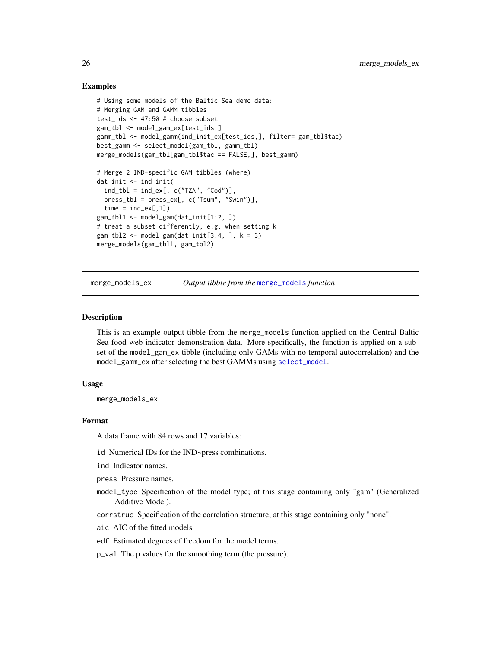# Examples

```
# Using some models of the Baltic Sea demo data:
# Merging GAM and GAMM tibbles
test_ids <- 47:50 # choose subset
gam_tbl <- model_gam_ex[test_ids,]
gamm_tbl <- model_gamm(ind_init_ex[test_ids,], filter= gam_tbl$tac)
best_gamm <- select_model(gam_tbl, gamm_tbl)
merge_models(gam_tbl[gam_tbl$tac == FALSE,], best_gamm)
# Merge 2 IND-specific GAM tibbles (where)
dat_init <- ind_init(
  ind_tbl = ind_ex[, c("TZA", "Cod")],press_tbl = press_ex[, c("Tsum", "Swin")],
  time = ind\_ex[, 1]\)gam_tbl1 <- model_gam(dat_init[1:2, ])
# treat a subset differently, e.g. when setting k
gam_tbl2 \leq model_gam(data_init[3:4,], k = 3)merge_models(gam_tbl1, gam_tbl2)
```
merge\_models\_ex *Output tibble from the* [merge\\_models](#page-24-1) *function*

### Description

This is an example output tibble from the merge\_models function applied on the Central Baltic Sea food web indicator demonstration data. More specifically, the function is applied on a subset of the model\_gam\_ex tibble (including only GAMs with no temporal autocorrelation) and the model\_gamm\_ex after selecting the best GAMMs using [select\\_model](#page-50-1).

#### Usage

merge\_models\_ex

#### Format

A data frame with 84 rows and 17 variables:

- id Numerical IDs for the IND~press combinations.
- ind Indicator names.
- press Pressure names.
- model\_type Specification of the model type; at this stage containing only "gam" (Generalized Additive Model).
- corrstruc Specification of the correlation structure; at this stage containing only "none".
- aic AIC of the fitted models
- edf Estimated degrees of freedom for the model terms.
- p\_val The p values for the smoothing term (the pressure).

<span id="page-25-0"></span>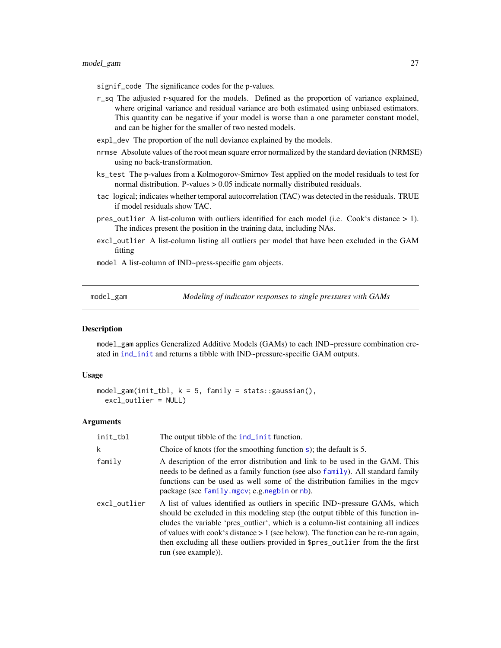<span id="page-26-0"></span>signif\_code The significance codes for the p-values.

- r\_sq The adjusted r-squared for the models. Defined as the proportion of variance explained, where original variance and residual variance are both estimated using unbiased estimators. This quantity can be negative if your model is worse than a one parameter constant model, and can be higher for the smaller of two nested models.
- expl\_dev The proportion of the null deviance explained by the models.
- nrmse Absolute values of the root mean square error normalized by the standard deviation (NRMSE) using no back-transformation.
- ks\_test The p-values from a Kolmogorov-Smirnov Test applied on the model residuals to test for normal distribution. P-values > 0.05 indicate normally distributed residuals.
- tac logical; indicates whether temporal autocorrelation (TAC) was detected in the residuals. TRUE if model residuals show TAC.
- pres\_outlier A list-column with outliers identified for each model (i.e. Cook's distance > 1). The indices present the position in the training data, including NAs.
- excl\_outlier A list-column listing all outliers per model that have been excluded in the GAM fitting
- model A list-column of IND~press-specific gam objects.

<span id="page-26-1"></span>model\_gam *Modeling of indicator responses to single pressures with GAMs*

# **Description**

model\_gam applies Generalized Additive Models (GAMs) to each IND~pressure combination created in [ind\\_init](#page-22-1) and returns a tibble with IND~pressure-specific GAM outputs.

#### Usage

```
model\_gam(int\_tb1, k = 5, family = stats::gaussian(),excl_outlier = NULL)
```
# Arguments

| init_tbl     | The output tibble of the <b>ind</b> _init function.                                                                                                                                                                                                                                                                                                                                                                                                    |
|--------------|--------------------------------------------------------------------------------------------------------------------------------------------------------------------------------------------------------------------------------------------------------------------------------------------------------------------------------------------------------------------------------------------------------------------------------------------------------|
| k            | Choice of knots (for the smoothing function $s$ ); the default is 5.                                                                                                                                                                                                                                                                                                                                                                                   |
| family       | A description of the error distribution and link to be used in the GAM. This<br>needs to be defined as a family function (see also family). All standard family<br>functions can be used as well some of the distribution families in the mgcv<br>package (see family.mgcv; e.g.negbin or nb).                                                                                                                                                         |
| excl_outlier | A list of values identified as outliers in specific IND~pressure GAMs, which<br>should be excluded in this modeling step (the output tibble of this function in-<br>cludes the variable 'pres_outlier', which is a column-list containing all indices<br>of values with cook's distance $> 1$ (see below). The function can be re-run again,<br>then excluding all these outliers provided in \$pres_outlier from the the first<br>run (see example)). |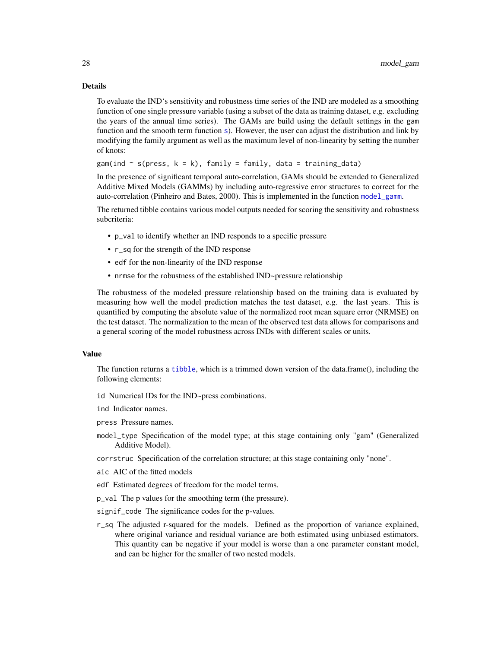#### Details

To evaluate the IND's sensitivity and robustness time series of the IND are modeled as a smoothing function of one single pressure variable (using a subset of the data as training dataset, e.g. excluding the years of the annual time series). The GAMs are build using the default settings in the gam function and the smooth term function [s](#page-0-0)). However, the user can adjust the distribution and link by modifying the family argument as well as the maximum level of non-linearity by setting the number of knots:

gam(ind  $\sim$  s(press,  $k = k$ ), family = family, data = training\_data)

In the presence of significant temporal auto-correlation, GAMs should be extended to Generalized Additive Mixed Models (GAMMs) by including auto-regressive error structures to correct for the auto-correlation (Pinheiro and Bates, 2000). This is implemented in the function [model\\_gamm](#page-29-1).

The returned tibble contains various model outputs needed for scoring the sensitivity and robustness subcriteria:

- p\_val to identify whether an IND responds to a specific pressure
- r\_sq for the strength of the IND response
- edf for the non-linearity of the IND response
- nrmse for the robustness of the established IND~pressure relationship

The robustness of the modeled pressure relationship based on the training data is evaluated by measuring how well the model prediction matches the test dataset, e.g. the last years. This is quantified by computing the absolute value of the normalized root mean square error (NRMSE) on the test dataset. The normalization to the mean of the observed test data allows for comparisons and a general scoring of the model robustness across INDs with different scales or units.

# Value

The function returns a [tibble](#page-0-0), which is a trimmed down version of the data.frame(), including the following elements:

- id Numerical IDs for the IND~press combinations.
- ind Indicator names.
- press Pressure names.
- model\_type Specification of the model type; at this stage containing only "gam" (Generalized Additive Model).
- corrstruc Specification of the correlation structure; at this stage containing only "none".
- aic AIC of the fitted models
- edf Estimated degrees of freedom for the model terms.
- p\_val The p values for the smoothing term (the pressure).
- signif\_code The significance codes for the p-values.
- r\_sq The adjusted r-squared for the models. Defined as the proportion of variance explained, where original variance and residual variance are both estimated using unbiased estimators. This quantity can be negative if your model is worse than a one parameter constant model, and can be higher for the smaller of two nested models.

<span id="page-27-0"></span>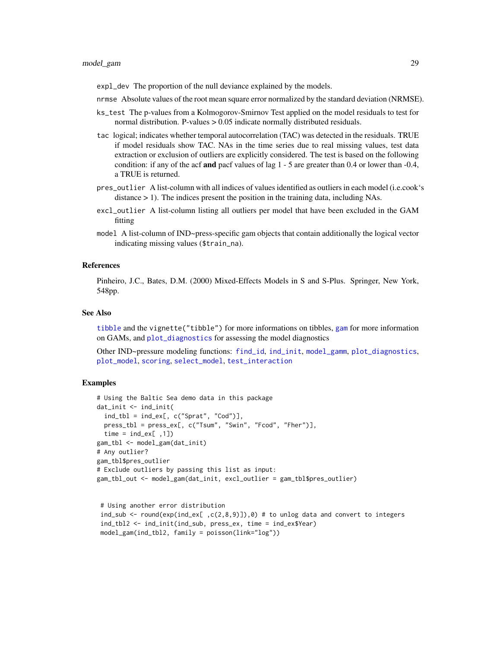<span id="page-28-0"></span>expl\_dev The proportion of the null deviance explained by the models.

- nrmse Absolute values of the root mean square error normalized by the standard deviation (NRMSE).
- ks\_test The p-values from a Kolmogorov-Smirnov Test applied on the model residuals to test for normal distribution. P-values > 0.05 indicate normally distributed residuals.
- tac logical; indicates whether temporal autocorrelation (TAC) was detected in the residuals. TRUE if model residuals show TAC. NAs in the time series due to real missing values, test data extraction or exclusion of outliers are explicitly considered. The test is based on the following condition: if any of the acf and pacf values of lag 1 - 5 are greater than 0.4 or lower than -0.4, a TRUE is returned.
- pres\_outlier A list-column with all indices of values identified as outliers in each model (i.e.cook's distance > 1). The indices present the position in the training data, including NAs.
- excl\_outlier A list-column listing all outliers per model that have been excluded in the GAM fitting
- model A list-column of IND~press-specific gam objects that contain additionally the logical vector indicating missing values (\$train\_na).

#### References

Pinheiro, J.C., Bates, D.M. (2000) Mixed-Effects Models in S and S-Plus. Springer, New York, 548pp.

#### See Also

[tibble](#page-0-0) and the vignette("tibble") for more informations on tibbles, [gam](#page-0-0) for more information on GAMs, and [plot\\_diagnostics](#page-37-1) for assessing the model diagnostics

Other IND~pressure modeling functions: [find\\_id](#page-20-1), [ind\\_init](#page-22-1), [model\\_gamm](#page-29-1), [plot\\_diagnostics](#page-37-1), [plot\\_model](#page-39-1), [scoring](#page-47-1), [select\\_model](#page-50-1), [test\\_interaction](#page-55-1)

# Examples

```
# Using the Baltic Sea demo data in this package
dat_init <- ind_init(
  ind_tbl = ind_ex[, c("Sprat", "Cod")],press_tbl = press_ex[, c("Tsum", "Swin", "Fcod", "Fher")],
  time = ind\_ex[, 1])
gam_tbl <- model_gam(dat_init)
# Any outlier?
gam_tbl$pres_outlier
# Exclude outliers by passing this list as input:
gam_tbl_out <- model_gam(dat_init, excl_outlier = gam_tbl$pres_outlier)
```

```
# Using another error distribution
ind_sub <- round(exp(ind_ex[ ,c(2,8,9)]),0) # to unlog data and convert to integers
ind_tbl2 <- ind_init(ind_sub, press_ex, time = ind_ex$Year)
model_gam(ind_tbl2, family = poisson(link="log"))
```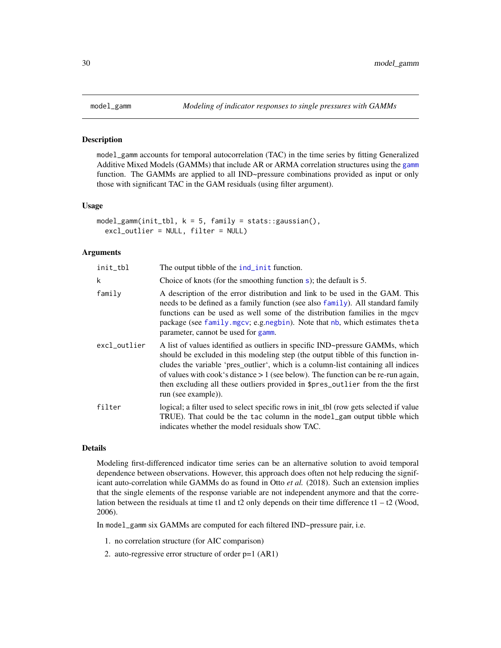#### Description

model\_gamm accounts for temporal autocorrelation (TAC) in the time series by fitting Generalized Additive Mixed Models (GAMMs) that include AR or ARMA correlation structures using the [gamm](#page-0-0) function. The GAMMs are applied to all IND~pressure combinations provided as input or only those with significant TAC in the GAM residuals (using filter argument).

## Usage

```
model_{\text{gamma}}(init_{\text{th}}, k = 5, family = stats::gaussian(),excl_outlier = NULL, filter = NULL)
```
# Arguments

| init_tbl     | The output tibble of the <b>ind</b> _init function.                                                                                                                                                                                                                                                                                                                                                                                                     |
|--------------|---------------------------------------------------------------------------------------------------------------------------------------------------------------------------------------------------------------------------------------------------------------------------------------------------------------------------------------------------------------------------------------------------------------------------------------------------------|
| k            | Choice of knots (for the smoothing function $s$ ); the default is 5.                                                                                                                                                                                                                                                                                                                                                                                    |
| family       | A description of the error distribution and link to be used in the GAM. This<br>needs to be defined as a family function (see also family). All standard family<br>functions can be used as well some of the distribution families in the mgcv<br>package (see family mgcv; e.g.negbin). Note that nb, which estimates theta<br>parameter, cannot be used for gamm.                                                                                     |
| excl_outlier | A list of values identified as outliers in specific IND~pressure GAMMs, which<br>should be excluded in this modeling step (the output tibble of this function in-<br>cludes the variable 'pres_outlier', which is a column-list containing all indices<br>of values with cook's distance $> 1$ (see below). The function can be re-run again,<br>then excluding all these outliers provided in \$pres_outlier from the the first<br>run (see example)). |
| filter       | logical; a filter used to select specific rows in init_tbl (row gets selected if value<br>TRUE). That could be the tac column in the model_gam output tibble which<br>indicates whether the model residuals show TAC.                                                                                                                                                                                                                                   |

# Details

Modeling first-differenced indicator time series can be an alternative solution to avoid temporal dependence between observations. However, this approach does often not help reducing the significant auto-correlation while GAMMs do as found in Otto *et al.* (2018). Such an extension implies that the single elements of the response variable are not independent anymore and that the correlation between the residuals at time t1 and t2 only depends on their time difference t1 – t2 (Wood, 2006).

In model\_gamm six GAMMs are computed for each filtered IND~pressure pair, i.e.

- 1. no correlation structure (for AIC comparison)
- 2. auto-regressive error structure of order p=1 (AR1)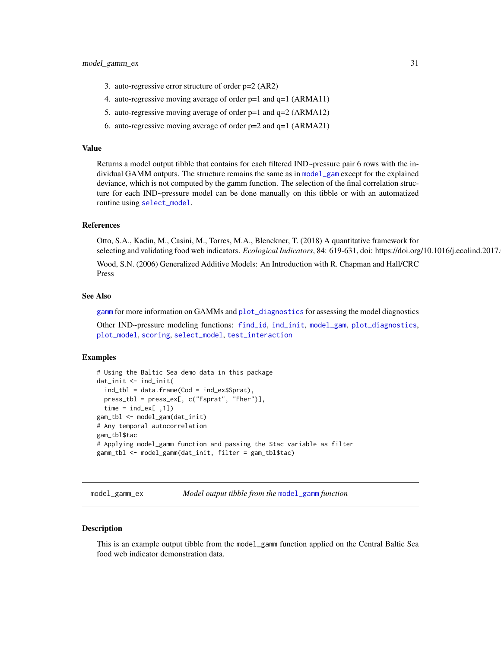- <span id="page-30-0"></span>3. auto-regressive error structure of order p=2 (AR2)
- 4. auto-regressive moving average of order p=1 and q=1 (ARMA11)
- 5. auto-regressive moving average of order p=1 and q=2 (ARMA12)
- 6. auto-regressive moving average of order p=2 and q=1 (ARMA21)

#### Value

Returns a model output tibble that contains for each filtered IND~pressure pair 6 rows with the individual GAMM outputs. The structure remains the same as in [model\\_gam](#page-26-1) except for the explained deviance, which is not computed by the gamm function. The selection of the final correlation structure for each IND~pressure model can be done manually on this tibble or with an automatized routine using [select\\_model](#page-50-1).

# References

Otto, S.A., Kadin, M., Casini, M., Torres, M.A., Blenckner, T. (2018) A quantitative framework for selecting and validating food web indicators. *Ecological Indicators*, 84: 619-631, doi: https://doi.org/10.1016/j.ecolind.2017.

Wood, S.N. (2006) Generalized Additive Models: An Introduction with R. Chapman and Hall/CRC Press

# See Also

[gamm](#page-0-0) for more information on GAMMs and [plot\\_diagnostics](#page-37-1) for assessing the model diagnostics

Other IND~pressure modeling functions: [find\\_id](#page-20-1), [ind\\_init](#page-22-1), [model\\_gam](#page-26-1), [plot\\_diagnostics](#page-37-1), [plot\\_model](#page-39-1), [scoring](#page-47-1), [select\\_model](#page-50-1), [test\\_interaction](#page-55-1)

#### Examples

```
# Using the Baltic Sea demo data in this package
dat_init <- ind_init(
 ind_tbl = data.frame(Cod = ind_ex$Sprat),press_tbl = press_ex[, c("Fsprat", "Fher")],
 time = ind\_ex[, 1])
gam_tbl <- model_gam(dat_init)
# Any temporal autocorrelation
gam_tbl$tac
# Applying model_gamm function and passing the $tac variable as filter
gamm_tbl <- model_gamm(dat_init, filter = gam_tbl$tac)
```
model\_gamm\_ex *Model output tibble from the* [model\\_gamm](#page-29-1) *function*

#### **Description**

This is an example output tibble from the model\_gamm function applied on the Central Baltic Sea food web indicator demonstration data.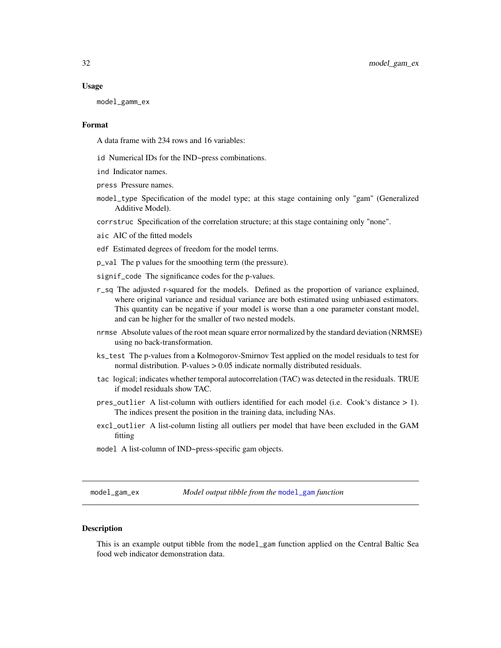#### <span id="page-31-0"></span>Usage

model\_gamm\_ex

# Format

A data frame with 234 rows and 16 variables:

- id Numerical IDs for the IND~press combinations.
- ind Indicator names.
- press Pressure names.
- model\_type Specification of the model type; at this stage containing only "gam" (Generalized Additive Model).

corrstruc Specification of the correlation structure; at this stage containing only "none".

- aic AIC of the fitted models
- edf Estimated degrees of freedom for the model terms.
- p\_val The p values for the smoothing term (the pressure).
- signif\_code The significance codes for the p-values.
- r\_sq The adjusted r-squared for the models. Defined as the proportion of variance explained, where original variance and residual variance are both estimated using unbiased estimators. This quantity can be negative if your model is worse than a one parameter constant model, and can be higher for the smaller of two nested models.
- nrmse Absolute values of the root mean square error normalized by the standard deviation (NRMSE) using no back-transformation.
- ks\_test The p-values from a Kolmogorov-Smirnov Test applied on the model residuals to test for normal distribution. P-values > 0.05 indicate normally distributed residuals.
- tac logical; indicates whether temporal autocorrelation (TAC) was detected in the residuals. TRUE if model residuals show TAC.
- pres\_outlier A list-column with outliers identified for each model (i.e. Cook's distance > 1). The indices present the position in the training data, including NAs.
- excl\_outlier A list-column listing all outliers per model that have been excluded in the GAM fitting
- model A list-column of IND~press-specific gam objects.

model\_gam\_ex *Model output tibble from the* [model\\_gam](#page-26-1) *function*

#### **Description**

This is an example output tibble from the model\_gam function applied on the Central Baltic Sea food web indicator demonstration data.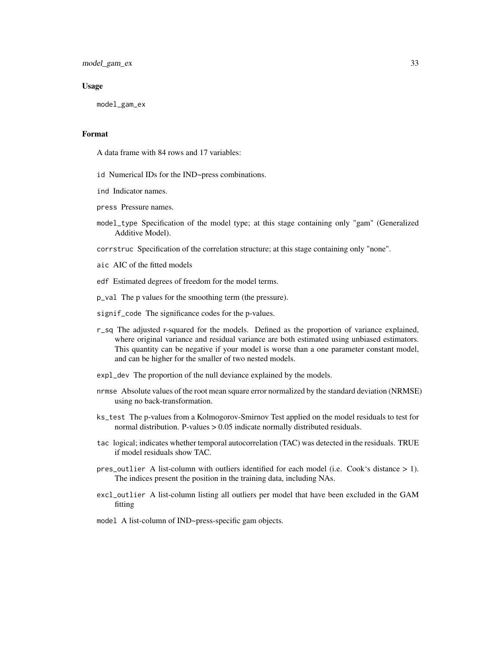model\_gam\_ex 33

#### Usage

model\_gam\_ex

# Format

A data frame with 84 rows and 17 variables:

- id Numerical IDs for the IND~press combinations.
- ind Indicator names.
- press Pressure names.
- model\_type Specification of the model type; at this stage containing only "gam" (Generalized Additive Model).

corrstruc Specification of the correlation structure; at this stage containing only "none".

- aic AIC of the fitted models
- edf Estimated degrees of freedom for the model terms.
- p\_val The p values for the smoothing term (the pressure).
- signif\_code The significance codes for the p-values.
- r\_sq The adjusted r-squared for the models. Defined as the proportion of variance explained, where original variance and residual variance are both estimated using unbiased estimators. This quantity can be negative if your model is worse than a one parameter constant model, and can be higher for the smaller of two nested models.
- expl\_dev The proportion of the null deviance explained by the models.
- nrmse Absolute values of the root mean square error normalized by the standard deviation (NRMSE) using no back-transformation.
- ks\_test The p-values from a Kolmogorov-Smirnov Test applied on the model residuals to test for normal distribution. P-values > 0.05 indicate normally distributed residuals.
- tac logical; indicates whether temporal autocorrelation (TAC) was detected in the residuals. TRUE if model residuals show TAC.
- pres\_outlier A list-column with outliers identified for each model (i.e. Cook's distance > 1). The indices present the position in the training data, including NAs.
- excl\_outlier A list-column listing all outliers per model that have been excluded in the GAM fitting
- model A list-column of IND~press-specific gam objects.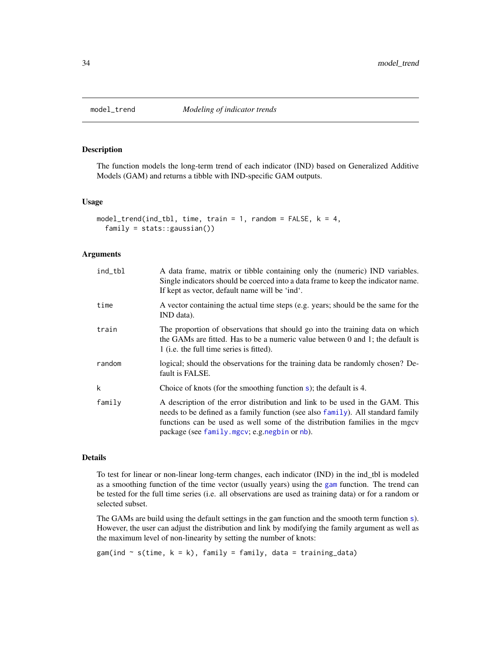<span id="page-33-1"></span><span id="page-33-0"></span>

# Description

The function models the long-term trend of each indicator (IND) based on Generalized Additive Models (GAM) and returns a tibble with IND-specific GAM outputs.

# Usage

```
model_trend(ind_tbl, time, train = 1, random = FALSE, k = 4,
  family = stats::gaussian())
```
#### Arguments

| ind_tbl | A data frame, matrix or tibble containing only the (numeric) IND variables.<br>Single indicators should be coerced into a data frame to keep the indicator name.<br>If kept as vector, default name will be 'ind'.                                                                             |
|---------|------------------------------------------------------------------------------------------------------------------------------------------------------------------------------------------------------------------------------------------------------------------------------------------------|
| time    | A vector containing the actual time steps (e.g. years; should be the same for the<br>IND data).                                                                                                                                                                                                |
| train   | The proportion of observations that should go into the training data on which<br>the GAMs are fitted. Has to be a numeric value between $0$ and 1; the default is<br>1 (i.e. the full time series is fitted).                                                                                  |
| random  | logical; should the observations for the training data be randomly chosen? De-<br>fault is FALSE.                                                                                                                                                                                              |
| k       | Choice of knots (for the smoothing function $s$ ); the default is 4.                                                                                                                                                                                                                           |
| family  | A description of the error distribution and link to be used in the GAM. This<br>needs to be defined as a family function (see also family). All standard family<br>functions can be used as well some of the distribution families in the mgcv<br>package (see family.mgcv; e.g.negbin or nb). |

#### Details

To test for linear or non-linear long-term changes, each indicator (IND) in the ind\_tbl is modeled as a smoothing function of the time vector (usually years) using the [gam](#page-0-0) function. The trend can be tested for the full time series (i.e. all observations are used as training data) or for a random or selected subset.

The GAMs are build using the default settings in the gam function and the smooth term function [s](#page-0-0)). However, the user can adjust the distribution and link by modifying the family argument as well as the maximum level of non-linearity by setting the number of knots:

 $gam(ind \sim s(time, k = k), family = family, data = training_data)$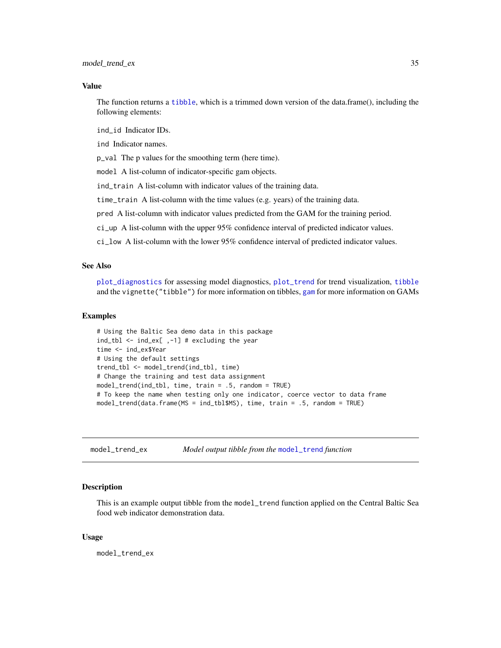<span id="page-34-0"></span>model\_trend\_ex 35

#### Value

The function returns a [tibble](#page-0-0), which is a trimmed down version of the data.frame(), including the following elements:

ind\_id Indicator IDs.

ind Indicator names.

p\_val The p values for the smoothing term (here time).

model A list-column of indicator-specific gam objects.

ind\_train A list-column with indicator values of the training data.

time\_train A list-column with the time values (e.g. years) of the training data.

pred A list-column with indicator values predicted from the GAM for the training period.

ci\_up A list-column with the upper 95% confidence interval of predicted indicator values.

ci\_low A list-column with the lower 95% confidence interval of predicted indicator values.

# See Also

[plot\\_diagnostics](#page-37-1) for assessing model diagnostics, [plot\\_trend](#page-45-1) for trend visualization, [tibble](#page-0-0) and the vignette("tibble") for more information on tibbles, [gam](#page-0-0) for more information on GAMs

# Examples

```
# Using the Baltic Sea demo data in this package
ind_tbl <- ind_ex[ ,-1] # excluding the year
time <- ind_ex$Year
# Using the default settings
trend_tbl <- model_trend(ind_tbl, time)
# Change the training and test data assignment
model_trend(ind_tbl, time, train = .5, random = TRUE)
# To keep the name when testing only one indicator, coerce vector to data frame
model_trend(data.frame(MS = ind_tbl$MS), time, train = .5, random = TRUE)
```
model\_trend\_ex *Model output tibble from the* [model\\_trend](#page-33-1) *function*

#### **Description**

This is an example output tibble from the model\_trend function applied on the Central Baltic Sea food web indicator demonstration data.

#### Usage

model\_trend\_ex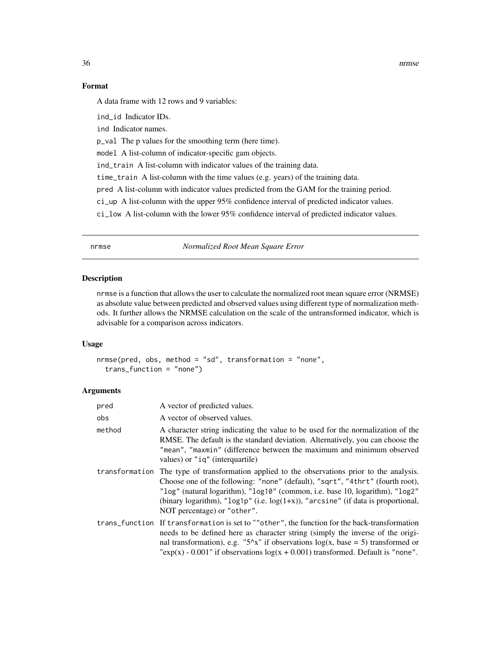36 nrmse

# Format

A data frame with 12 rows and 9 variables:

ind\_id Indicator IDs.

ind Indicator names.

p\_val The p values for the smoothing term (here time).

model A list-column of indicator-specific gam objects.

ind\_train A list-column with indicator values of the training data.

time\_train A list-column with the time values (e.g. years) of the training data.

pred A list-column with indicator values predicted from the GAM for the training period.

ci\_up A list-column with the upper 95% confidence interval of predicted indicator values.

ci\_low A list-column with the lower 95% confidence interval of predicted indicator values.

<span id="page-35-1"></span>nrmse *Normalized Root Mean Square Error*

#### Description

nrmse is a function that allows the user to calculate the normalized root mean square error (NRMSE) as absolute value between predicted and observed values using different type of normalization methods. It further allows the NRMSE calculation on the scale of the untransformed indicator, which is advisable for a comparison across indicators.

#### Usage

```
nrmse(pred, obs, method = "sd", transformation = "none",
  trans_function = "none")
```
# Arguments

| pred   | A vector of predicted values.                                                                                                                                                                                                                                                                                                                                                            |
|--------|------------------------------------------------------------------------------------------------------------------------------------------------------------------------------------------------------------------------------------------------------------------------------------------------------------------------------------------------------------------------------------------|
| obs    | A vector of observed values.                                                                                                                                                                                                                                                                                                                                                             |
| method | A character string indicating the value to be used for the normalization of the<br>RMSE. The default is the standard deviation. Alternatively, you can choose the<br>"mean", "maxmin" (difference between the maximum and minimum observed<br>values) or "ig" (interquartile)                                                                                                            |
|        | transformation. The type of transformation applied to the observations prior to the analysis.<br>Choose one of the following: "none" (default), "sqrt", "4thrt" (fourth root),<br>"log" (natural logarithm), "log10" (common, i.e. base 10, logarithm), "log2"<br>(binary logarithm), " $log1p$ " (i.e. $log(1+x)$ ), "arcsine" (if data is proportional,<br>NOT percentage) or "other". |
|        | trans_function If transformation is set to ""other", the function for the back-transformation<br>needs to be defined here as character string (simply the inverse of the origi-<br>nal transformation), e.g. "5^x" if observations $log(x, base = 5)$ transformed or<br>"exp(x) - 0.001" if observations $log(x + 0.001)$ transformed. Default is "none".                                |

<span id="page-35-0"></span>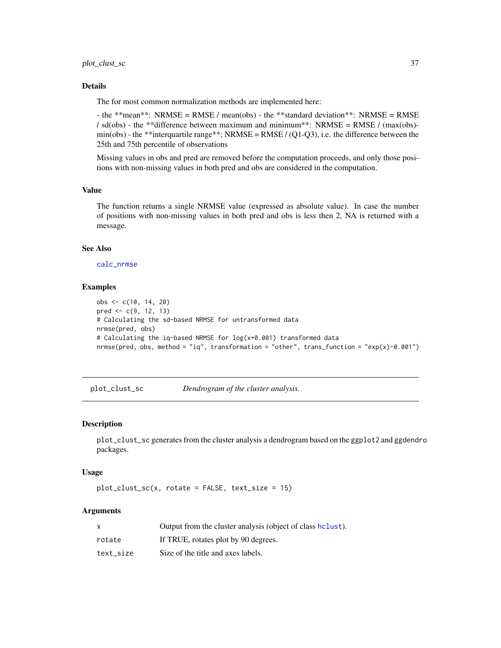# <span id="page-36-0"></span>Details

The for most common normalization methods are implemented here:

- the \*\*mean\*\*: NRMSE = RMSE / mean(obs) - the \*\*standard deviation\*\*: NRMSE = RMSE / sd(obs) - the \*\*difference between maximum and minimum\*\*: NRMSE = RMSE / (max(obs)min(obs) - the \*\*interquartile range\*\*; NRMSE = RMSE / (Q1-Q3), i.e. the difference between the 25th and 75th percentile of observations

Missing values in obs and pred are removed before the computation proceeds, and only those positions with non-missing values in both pred and obs are considered in the computation.

# Value

The function returns a single NRMSE value (expressed as absolute value). In case the number of positions with non-missing values in both pred and obs is less then 2, NA is returned with a message.

#### See Also

[calc\\_nrmse](#page-11-1)

## Examples

```
obs <- c(10, 14, 20)
pred <- c(9, 12, 13)
# Calculating the sd-based NRMSE for untransformed data
nrmse(pred, obs)
# Calculating the iq-based NRMSE for log(x+0.001) transformed data
nrmse(pred, obs, method = "iq", transformation = "other", trans_function = "exp(x)-0.001")
```
<span id="page-36-1"></span>plot\_clust\_sc *Dendrogram of the cluster analysis.*

#### Description

plot\_clust\_sc generates from the cluster analysis a dendrogram based on the ggplot2 and ggdendro packages.

#### Usage

 $plot\_cluster\_sc(x, rotate = FALSE, text\_size = 15)$ 

# Arguments

| x         | Output from the cluster analysis (object of class helust). |
|-----------|------------------------------------------------------------|
| rotate    | If TRUE, rotates plot by 90 degrees.                       |
| text size | Size of the title and axes labels.                         |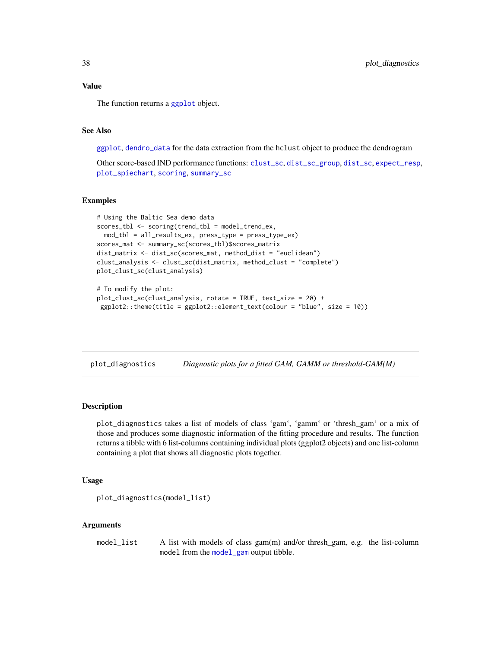<span id="page-37-0"></span>

The function returns a [ggplot](#page-0-0) object.

# See Also

[ggplot](#page-0-0), [dendro\\_data](#page-0-0) for the data extraction from the hclust object to produce the dendrogram

Other score-based IND performance functions: [clust\\_sc](#page-13-1), [dist\\_sc\\_group](#page-18-1), [dist\\_sc](#page-17-1), [expect\\_resp](#page-19-1), [plot\\_spiechart](#page-41-1), [scoring](#page-47-1), [summary\\_sc](#page-54-1)

# Examples

```
# Using the Baltic Sea demo data
scores_tbl <- scoring(trend_tbl = model_trend_ex,
 mod_tbl = all_results_ex, press_type = press_type_ex)
scores_mat <- summary_sc(scores_tbl)$scores_matrix
dist_matrix <- dist_sc(scores_mat, method_dist = "euclidean")
clust_analysis <- clust_sc(dist_matrix, method_clust = "complete")
plot_clust_sc(clust_analysis)
# To modify the plot:
plot_clust_sc(clust_analysis, rotate = TRUE, text_size = 20) +
ggplot2::theme(title = ggplot2::element_text(colour = "blue", size = 10))
```
<span id="page-37-1"></span>plot\_diagnostics *Diagnostic plots for a fitted GAM, GAMM or threshold-GAM(M)*

#### **Description**

plot\_diagnostics takes a list of models of class 'gam', 'gamm' or 'thresh\_gam' or a mix of those and produces some diagnostic information of the fitting procedure and results. The function returns a tibble with 6 list-columns containing individual plots (ggplot2 objects) and one list-column containing a plot that shows all diagnostic plots together.

# Usage

```
plot_diagnostics(model_list)
```
# Arguments

model\_list A list with models of class gam(m) and/or thresh\_gam, e.g. the list-column model from the [model\\_gam](#page-26-1) output tibble.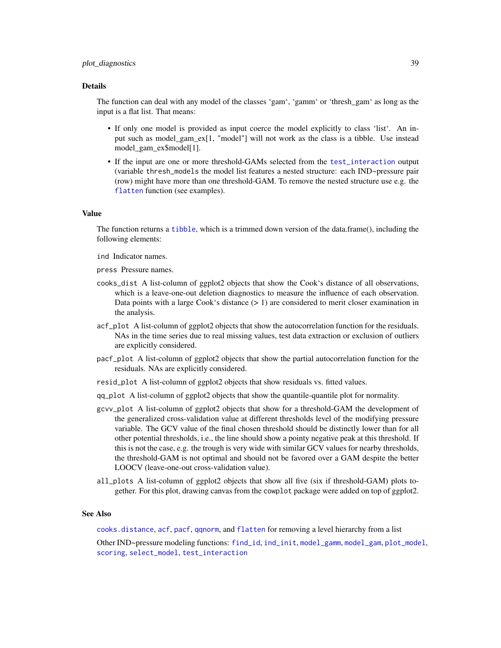#### <span id="page-38-0"></span>plot\_diagnostics 39

#### Details

The function can deal with any model of the classes 'gam', 'gamm' or 'thresh\_gam' as long as the input is a flat list. That means:

- If only one model is provided as input coerce the model explicitly to class 'list'. An input such as model\_gam\_ex[1, "model"] will not work as the class is a tibble. Use instead model\_gam\_ex\$model[1].
- If the input are one or more threshold-GAMs selected from the [test\\_interaction](#page-55-1) output (variable thresh\_models the model list features a nested structure: each IND~pressure pair (row) might have more than one threshold-GAM. To remove the nested structure use e.g. the [flatten](#page-0-0) function (see examples).

#### Value

The function returns a [tibble](#page-0-0), which is a trimmed down version of the data.frame(), including the following elements:

ind Indicator names.

- press Pressure names.
- cooks\_dist A list-column of ggplot2 objects that show the Cook's distance of all observations, which is a leave-one-out deletion diagnostics to measure the influence of each observation. Data points with a large Cook's distance  $(> 1)$  are considered to merit closer examination in the analysis.
- acf\_plot A list-column of ggplot2 objects that show the autocorrelation function for the residuals. NAs in the time series due to real missing values, test data extraction or exclusion of outliers are explicitly considered.
- pacf\_plot A list-column of ggplot2 objects that show the partial autocorrelation function for the residuals. NAs are explicitly considered.
- resid\_plot A list-column of ggplot2 objects that show residuals vs. fitted values.
- qq\_plot A list-column of ggplot2 objects that show the quantile-quantile plot for normality.
- gcvv\_plot A list-column of ggplot2 objects that show for a threshold-GAM the development of the generalized cross-validation value at different thresholds level of the modifying pressure variable. The GCV value of the final chosen threshold should be distinctly lower than for all other potential thresholds, i.e., the line should show a pointy negative peak at this threshold. If this is not the case, e.g. the trough is very wide with similar GCV values for nearby thresholds, the threshold-GAM is not optimal and should not be favored over a GAM despite the better LOOCV (leave-one-out cross-validation value).
- all\_plots A list-column of ggplot2 objects that show all five (six if threshold-GAM) plots together. For this plot, drawing canvas from the cowplot package were added on top of ggplot2.

#### See Also

[cooks.distance](#page-0-0), [acf](#page-0-0), [pacf](#page-0-0), [qqnorm](#page-0-0), and [flatten](#page-0-0) for removing a level hierarchy from a list

Other IND~pressure modeling functions: [find\\_id](#page-20-1), [ind\\_init](#page-22-1), [model\\_gamm](#page-29-1), [model\\_gam](#page-26-1), [plot\\_model](#page-39-1), [scoring](#page-47-1), [select\\_model](#page-50-1), [test\\_interaction](#page-55-1)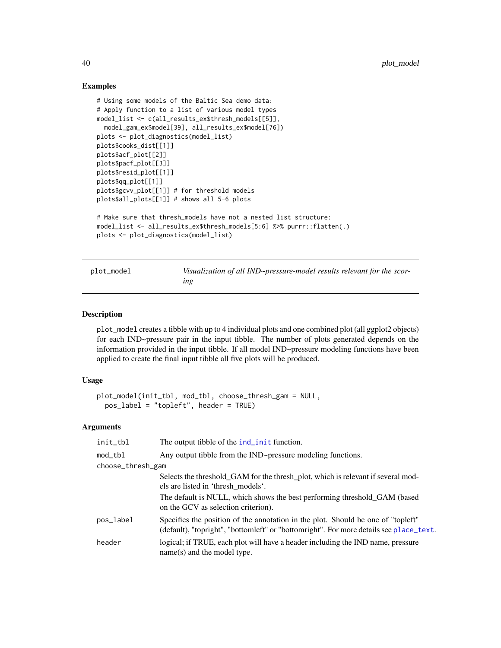# Examples

```
# Using some models of the Baltic Sea demo data:
# Apply function to a list of various model types
model_list <- c(all_results_ex$thresh_models[[5]],
  model_gam_ex$model[39], all_results_ex$model[76])
plots <- plot_diagnostics(model_list)
plots$cooks_dist[[1]]
plots$acf_plot[[2]]
plots$pacf_plot[[3]]
plots$resid_plot[[1]]
plots$qq_plot[[1]]
plots$gcvv_plot[[1]] # for threshold models
plots$all_plots[[1]] # shows all 5-6 plots
# Make sure that thresh_models have not a nested list structure:
model_list <- all_results_ex$thresh_models[5:6] %>% purrr::flatten(.)
plots <- plot_diagnostics(model_list)
```
<span id="page-39-1"></span>plot\_model *Visualization of all IND~pressure-model results relevant for the scoring*

# Description

plot\_model creates a tibble with up to 4 individual plots and one combined plot (all ggplot2 objects) for each IND~pressure pair in the input tibble. The number of plots generated depends on the information provided in the input tibble. If all model IND~pressure modeling functions have been applied to create the final input tibble all five plots will be produced.

# Usage

```
plot_model(init_tbl, mod_tbl, choose_thresh_gam = NULL,
 pos_label = "topleft", header = TRUE)
```
#### Arguments

| init_tbl          | The output tibble of the ind_init function.                                                                                                                                |
|-------------------|----------------------------------------------------------------------------------------------------------------------------------------------------------------------------|
| mod_tbl           | Any output tibble from the IND~pressure modeling functions.                                                                                                                |
| choose_thresh_gam |                                                                                                                                                                            |
|                   | Selects the threshold_GAM for the thresh_plot, which is relevant if several mod-<br>els are listed in 'thresh_models'.                                                     |
|                   | The default is NULL, which shows the best performing threshold_GAM (based<br>on the GCV as selection criterion).                                                           |
| pos_label         | Specifies the position of the annotation in the plot. Should be one of "topleft"<br>(default), "topright", "bottomleft" or "bottomright". For more details see place_text. |
| header            | logical; if TRUE, each plot will have a header including the IND name, pressure<br>$name(s)$ and the model type.                                                           |

<span id="page-39-0"></span>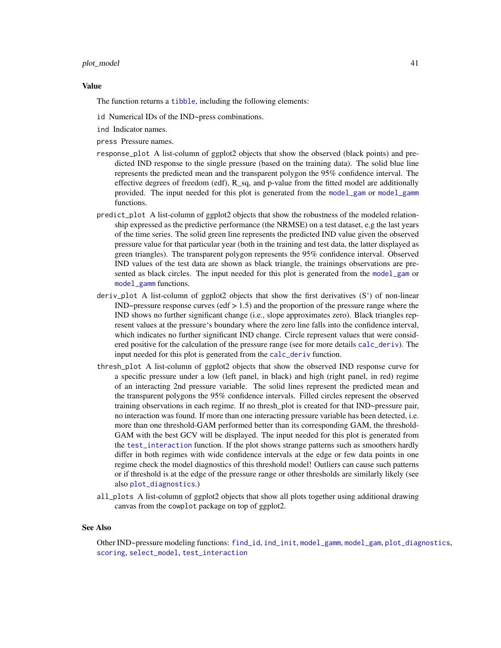#### <span id="page-40-0"></span>plot\_model 41

#### Value

The function returns a [tibble](#page-0-0), including the following elements:

- id Numerical IDs of the IND~press combinations.
- ind Indicator names.
- press Pressure names.
- response\_plot A list-column of ggplot2 objects that show the observed (black points) and predicted IND response to the single pressure (based on the training data). The solid blue line represents the predicted mean and the transparent polygon the 95% confidence interval. The effective degrees of freedom (edf),  $R$ \_sq, and p-value from the fitted model are additionally provided. The input needed for this plot is generated from the [model\\_gam](#page-26-1) or [model\\_gamm](#page-29-1) functions.
- predict\_plot A list-column of ggplot2 objects that show the robustness of the modeled relationship expressed as the predictive performance (the NRMSE) on a test dataset, e.g the last years of the time series. The solid green line represents the predicted IND value given the observed pressure value for that particular year (both in the training and test data, the latter displayed as green triangles). The transparent polygon represents the 95% confidence interval. Observed IND values of the test data are shown as black triangle, the trainings observations are presented as black circles. The input needed for this plot is generated from the [model\\_gam](#page-26-1) or [model\\_gamm](#page-29-1) functions.
- deriv\_plot A list-column of ggplot2 objects that show the first derivatives (S') of non-linear  $IND\rightarrow pressure$  response curves (edf  $> 1.5$ ) and the proportion of the pressure range where the IND shows no further significant change (i.e., slope approximates zero). Black triangles represent values at the pressure's boundary where the zero line falls into the confidence interval, which indicates no further significant IND change. Circle represent values that were considered positive for the calculation of the pressure range (see for more details [calc\\_deriv](#page-8-1)). The input needed for this plot is generated from the [calc\\_deriv](#page-8-1) function.
- thresh\_plot A list-column of ggplot2 objects that show the observed IND response curve for a specific pressure under a low (left panel, in black) and high (right panel, in red) regime of an interacting 2nd pressure variable. The solid lines represent the predicted mean and the transparent polygons the 95% confidence intervals. Filled circles represent the observed training observations in each regime. If no thresh\_plot is created for that IND~pressure pair, no interaction was found. If more than one interacting pressure variable has been detected, i.e. more than one threshold-GAM performed better than its corresponding GAM, the threshold-GAM with the best GCV will be displayed. The input needed for this plot is generated from the [test\\_interaction](#page-55-1) function. If the plot shows strange patterns such as smoothers hardly differ in both regimes with wide confidence intervals at the edge or few data points in one regime check the model diagnostics of this threshold model! Outliers can cause such patterns or if threshold is at the edge of the pressure range or other thresholds are similarly likely (see also [plot\\_diagnostics](#page-37-1).)
- all\_plots A list-column of ggplot2 objects that show all plots together using additional drawing canvas from the cowplot package on top of ggplot2.

#### See Also

Other IND~pressure modeling functions: [find\\_id](#page-20-1), [ind\\_init](#page-22-1), [model\\_gamm](#page-29-1), [model\\_gam](#page-26-1), [plot\\_diagnostics](#page-37-1), [scoring](#page-47-1), [select\\_model](#page-50-1), [test\\_interaction](#page-55-1)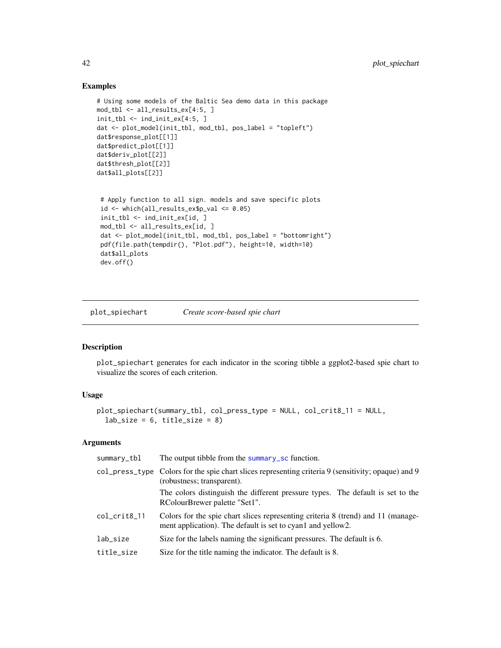# Examples

```
# Using some models of the Baltic Sea demo data in this package
mod_tbl <- all_results_ex[4:5, ]
init_tbl <- ind_init_ex[4:5, ]
dat <- plot_model(init_tbl, mod_tbl, pos_label = "topleft")
dat$response_plot[[1]]
dat$predict_plot[[1]]
dat$deriv_plot[[2]]
dat$thresh_plot[[2]]
dat$all_plots[[2]]
 # Apply function to all sign. models and save specific plots
 id <- which(all_results_ex$p_val <= 0.05)
 init_tbl <- ind_init_ex[id, ]
```

```
mod_tbl <- all_results_ex[id, ]
dat <- plot_model(init_tbl, mod_tbl, pos_label = "bottomright")
pdf(file.path(tempdir(), "Plot.pdf"), height=10, width=10)
dat$all_plots
dev.off()
```
<span id="page-41-1"></span>plot\_spiechart *Create score-based spie chart*

### Description

plot\_spiechart generates for each indicator in the scoring tibble a ggplot2-based spie chart to visualize the scores of each criterion.

# Usage

```
plot_spiechart(summary_tbl, col_press_type = NULL, col_crit8_11 = NULL,
  lab\_size = 6, title_size = 8)
```
#### Arguments

| summary_tbl  | The output tibble from the summary sc function.                                                                                                 |
|--------------|-------------------------------------------------------------------------------------------------------------------------------------------------|
|              | col_press_type Colors for the spie chart slices representing criteria 9 (sensitivity; opaque) and 9<br>(robustness; transparent).               |
|              | The colors distinguish the different pressure types. The default is set to the<br>RColourBrewer palette "Set1".                                 |
| col_crit8_11 | Colors for the spie chart slices representing criteria 8 (trend) and 11 (manage-<br>ment application). The default is set to cyan1 and yellow2. |
| lab_size     | Size for the labels naming the significant pressures. The default is 6.                                                                         |
| title_size   | Size for the title naming the indicator. The default is 8.                                                                                      |
|              |                                                                                                                                                 |

<span id="page-41-0"></span>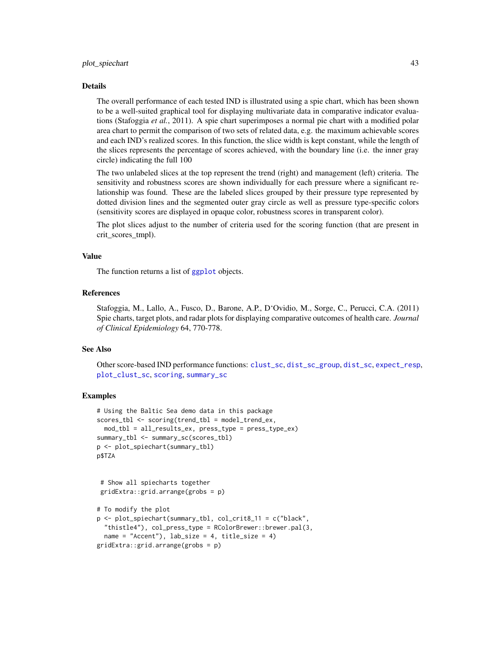#### <span id="page-42-0"></span>Details

The overall performance of each tested IND is illustrated using a spie chart, which has been shown to be a well-suited graphical tool for displaying multivariate data in comparative indicator evaluations (Stafoggia *et al.*, 2011). A spie chart superimposes a normal pie chart with a modified polar area chart to permit the comparison of two sets of related data, e.g. the maximum achievable scores and each IND's realized scores. In this function, the slice width is kept constant, while the length of the slices represents the percentage of scores achieved, with the boundary line (i.e. the inner gray circle) indicating the full 100

The two unlabeled slices at the top represent the trend (right) and management (left) criteria. The sensitivity and robustness scores are shown individually for each pressure where a significant relationship was found. These are the labeled slices grouped by their pressure type represented by dotted division lines and the segmented outer gray circle as well as pressure type-specific colors (sensitivity scores are displayed in opaque color, robustness scores in transparent color).

The plot slices adjust to the number of criteria used for the scoring function (that are present in crit\_scores\_tmpl).

### Value

The function returns a list of [ggplot](#page-0-0) objects.

# References

Stafoggia, M., Lallo, A., Fusco, D., Barone, A.P., D'Ovidio, M., Sorge, C., Perucci, C.A. (2011) Spie charts, target plots, and radar plots for displaying comparative outcomes of health care. *Journal of Clinical Epidemiology* 64, 770-778.

# See Also

Other score-based IND performance functions: [clust\\_sc](#page-13-1), [dist\\_sc\\_group](#page-18-1), [dist\\_sc](#page-17-1), [expect\\_resp](#page-19-1), [plot\\_clust\\_sc](#page-36-1), [scoring](#page-47-1), [summary\\_sc](#page-54-1)

#### Examples

```
# Using the Baltic Sea demo data in this package
scores_tbl <- scoring(trend_tbl = model_trend_ex,
 mod_tbl = all_results_ex, press_type = press_type_ex)
summary_tbl <- summary_sc(scores_tbl)
p <- plot_spiechart(summary_tbl)
p$TZA
```

```
# Show all spiecharts together
gridExtra::grid.arrange(grobs = p)
```

```
# To modify the plot
p <- plot_spiechart(summary_tbl, col_crit8_11 = c("black",
 "thistle4"), col_press_type = RColorBrewer::brewer.pal(3,
 name = "Accent"), lab\_size = 4, title\_size = 4)
gridExtra::grid.arrange(grobs = p)
```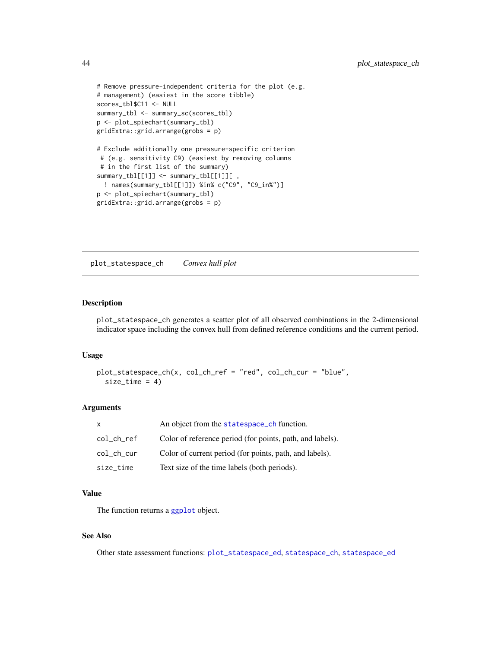```
# Remove pressure-independent criteria for the plot (e.g.
# management) (easiest in the score tibble)
scores_tbl$C11 <- NULL
summary_tbl <- summary_sc(scores_tbl)
p <- plot_spiechart(summary_tbl)
gridExtra::grid.arrange(grobs = p)
# Exclude additionally one pressure-specific criterion
# (e.g. sensitivity C9) (easiest by removing columns
# in the first list of the summary)
summary_tbl[[1]] <- summary_tbl[[1]][
  ! names(summary_tbl[[1]]) %in% c("C9", "C9_in%")]
p <- plot_spiechart(summary_tbl)
gridExtra::grid.arrange(grobs = p)
```
<span id="page-43-1"></span>plot\_statespace\_ch *Convex hull plot*

# Description

plot\_statespace\_ch generates a scatter plot of all observed combinations in the 2-dimensional indicator space including the convex hull from defined reference conditions and the current period.

# Usage

```
plot_statespace_ch(x, col_ch_ref = "red", col_ch_cur = "blue",
 size_time = 4)
```
#### **Arguments**

| X          | An object from the statespace_ch function.                |
|------------|-----------------------------------------------------------|
| col_ch_ref | Color of reference period (for points, path, and labels). |
| col_ch_cur | Color of current period (for points, path, and labels).   |
| size time  | Text size of the time labels (both periods).              |

#### Value

The function returns a [ggplot](#page-0-0) object.

# See Also

Other state assessment functions: [plot\\_statespace\\_ed](#page-44-1), [statespace\\_ch](#page-51-1), [statespace\\_ed](#page-53-1)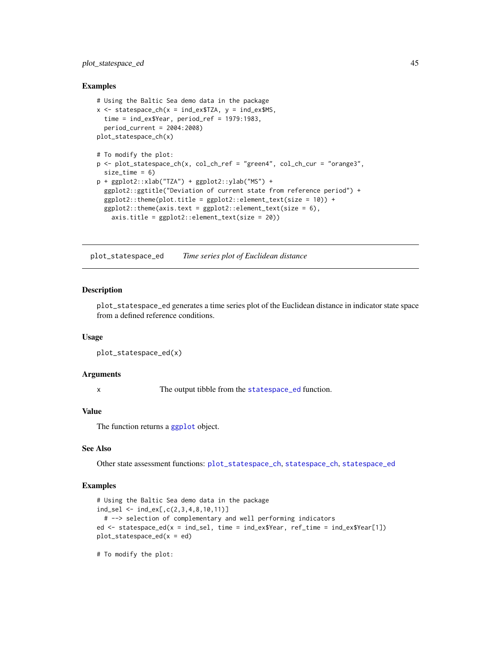# <span id="page-44-0"></span>plot\_statespace\_ed 45

#### Examples

```
# Using the Baltic Sea demo data in the package
x \le - statespace_ch(x =ind_ex$TZA, y =ind_ex$MS,
 time = ind_ex$Year, period_ref = 1979:1983,
 period_current = 2004:2008)
plot_statespace_ch(x)
# To modify the plot:
p <- plot_statespace_ch(x, col_ch_ref = "green4", col_ch_cur = "orange3",
 size_time = 6)p + ggplot2::xlab("TZA") + ggplot2::ylab("MS") +
 ggplot2::ggtitle("Deviation of current state from reference period") +
 ggplot2::theme(plot.title = ggplot2::element\_text(size = 10)) +ggplot2::theme(axis.text = ggplot2::element_text(size = 6),
   axis.title = ggplot2::element_text(size = 20))
```
<span id="page-44-1"></span>plot\_statespace\_ed *Time series plot of Euclidean distance*

#### Description

plot\_statespace\_ed generates a time series plot of the Euclidean distance in indicator state space from a defined reference conditions.

#### Usage

```
plot_statespace_ed(x)
```
#### Arguments

x The output tibble from the [statespace\\_ed](#page-53-1) function.

# Value

The function returns a [ggplot](#page-0-0) object.

# See Also

Other state assessment functions: [plot\\_statespace\\_ch](#page-43-1), [statespace\\_ch](#page-51-1), [statespace\\_ed](#page-53-1)

# Examples

```
# Using the Baltic Sea demo data in the package
ind_sel <- ind_ex[,c(2,3,4,8,10,11)]
 # --> selection of complementary and well performing indicators
ed <- statespace_ed(x = ind_sel, time = ind_ex$Year, ref_time = ind_ex$Year[1])
plot_{\text{statespace}_\text{ed}(x = ed)
```
# To modify the plot: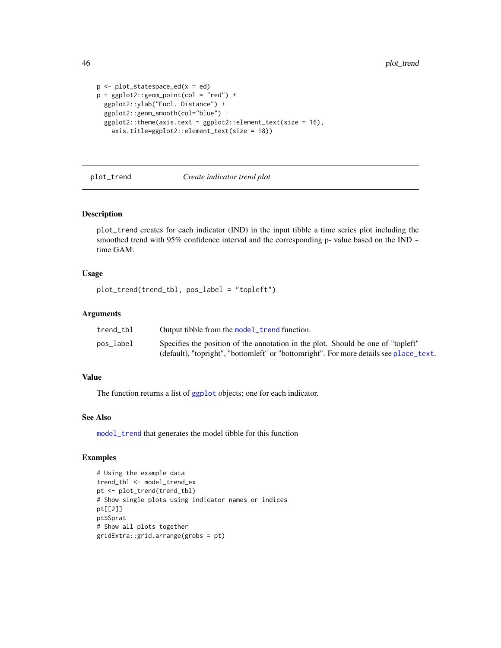```
p \leftarrow plot\_statespace\_ed(x = ed)p + ggplot2::geom\_point(col = "red") +ggplot2::ylab("Eucl. Distance") +
 ggplot2::geom_smooth(col="blue") +
 ggplot2::theme(axis.text = ggplot2::element_test(size = 16),axis.title=ggplot2::element_text(size = 18))
```
<span id="page-45-1"></span>

# plot\_trend *Create indicator trend plot*

#### Description

plot\_trend creates for each indicator (IND) in the input tibble a time series plot including the smoothed trend with 95% confidence interval and the corresponding p- value based on the IND  $\sim$ time GAM.

# Usage

```
plot_trend(trend_tbl, pos_label = "topleft")
```
#### Arguments

| trend tbl | Output tibble from the model_trend function.                                           |
|-----------|----------------------------------------------------------------------------------------|
| pos_label | Specifies the position of the annotation in the plot. Should be one of "topleft"       |
|           | (default), "topright", "bottomleft" or "bottomright". For more details see place_text. |

# Value

The function returns a list of [ggplot](#page-0-0) objects; one for each indicator.

# See Also

[model\\_trend](#page-33-1) that generates the model tibble for this function

# Examples

```
# Using the example data
trend_tbl <- model_trend_ex
pt <- plot_trend(trend_tbl)
# Show single plots using indicator names or indices
pt[[2]]
pt$Sprat
# Show all plots together
gridExtra::grid.arrange(grobs = pt)
```
<span id="page-45-0"></span>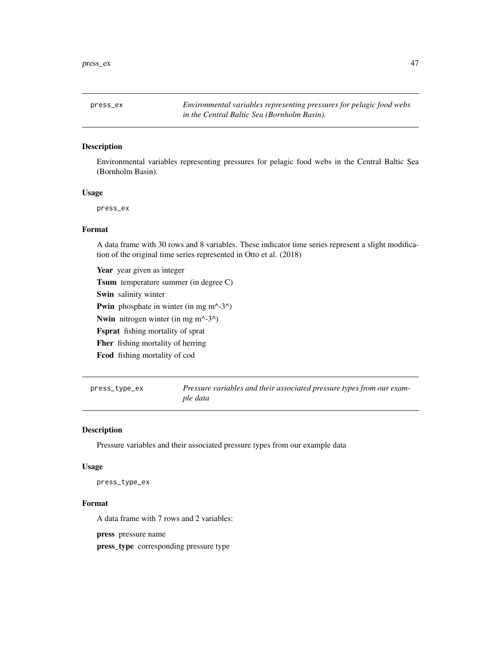<span id="page-46-0"></span>press\_ex *Environmental variables representing pressures for pelagic food webs in the Central Baltic Sea (Bornholm Basin).*

# Description

Environmental variables representing pressures for pelagic food webs in the Central Baltic Sea (Bornholm Basin).

# Usage

press\_ex

# Format

A data frame with 30 rows and 8 variables. These indicator time series represent a slight modification of the original time series represented in Otto et al. (2018)

Year year given as integer Tsum temperature summer (in degree C) Swin salinity winter **Pwin** phosphate in winter (in mg m^-3^) Nwin nitrogen winter (in mg m^-3^) Fsprat fishing mortality of sprat Fher fishing mortality of herring Fcod fishing mortality of cod

<span id="page-46-1"></span>press\_type\_ex *Pressure variables and their associated pressure types from our example data*

#### Description

Pressure variables and their associated pressure types from our example data

#### Usage

press\_type\_ex

#### Format

A data frame with 7 rows and 2 variables:

press pressure name

press\_type corresponding pressure type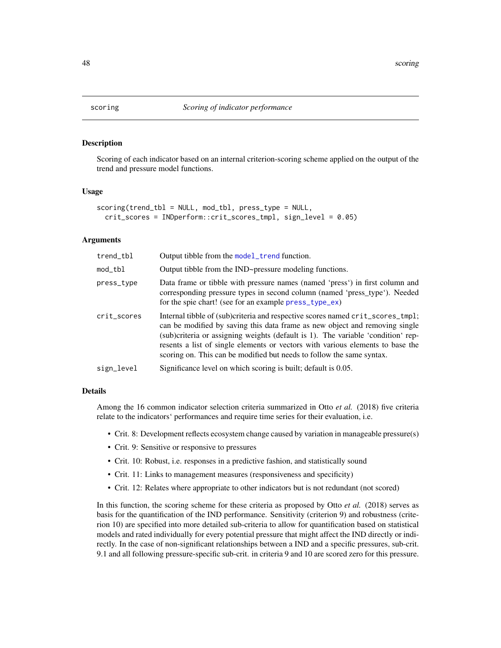<span id="page-47-1"></span><span id="page-47-0"></span>

# Description

Scoring of each indicator based on an internal criterion-scoring scheme applied on the output of the trend and pressure model functions.

# Usage

```
scoring(trend_tbl = NULL, mod_tbl, press_type = NULL,
  crit_scores = INDperform::crit_scores_tmpl, sign_level = 0.05)
```
#### Arguments

| trend_tbl   | Output tibble from the model_trend function.                                                                                                                                                                                                                                                                                                                                                                 |
|-------------|--------------------------------------------------------------------------------------------------------------------------------------------------------------------------------------------------------------------------------------------------------------------------------------------------------------------------------------------------------------------------------------------------------------|
| mod_tbl     | Output tibble from the IND~pressure modeling functions.                                                                                                                                                                                                                                                                                                                                                      |
| press_type  | Data frame or tibble with pressure names (named 'press') in first column and<br>corresponding pressure types in second column (named 'press_type'). Needed<br>for the spie chart! (see for an example press_type_ex)                                                                                                                                                                                         |
| crit_scores | Internal tibble of (sub)criteria and respective scores named crit_scores_tmpl;<br>can be modified by saving this data frame as new object and removing single<br>(sub)criteria or assigning weights (default is 1). The variable 'condition' rep-<br>resents a list of single elements or vectors with various elements to base the<br>scoring on. This can be modified but needs to follow the same syntax. |
| sign_level  | Significance level on which scoring is built; default is 0.05.                                                                                                                                                                                                                                                                                                                                               |

# Details

Among the 16 common indicator selection criteria summarized in Otto *et al.* (2018) five criteria relate to the indicators' performances and require time series for their evaluation, i.e.

- Crit. 8: Development reflects ecosystem change caused by variation in manageable pressure(s)
- Crit. 9: Sensitive or responsive to pressures
- Crit. 10: Robust, i.e. responses in a predictive fashion, and statistically sound
- Crit. 11: Links to management measures (responsiveness and specificity)
- Crit. 12: Relates where appropriate to other indicators but is not redundant (not scored)

In this function, the scoring scheme for these criteria as proposed by Otto *et al.* (2018) serves as basis for the quantification of the IND performance. Sensitivity (criterion 9) and robustness (criterion 10) are specified into more detailed sub-criteria to allow for quantification based on statistical models and rated individually for every potential pressure that might affect the IND directly or indirectly. In the case of non-significant relationships between a IND and a specific pressures, sub-crit. 9.1 and all following pressure-specific sub-crit. in criteria 9 and 10 are scored zero for this pressure.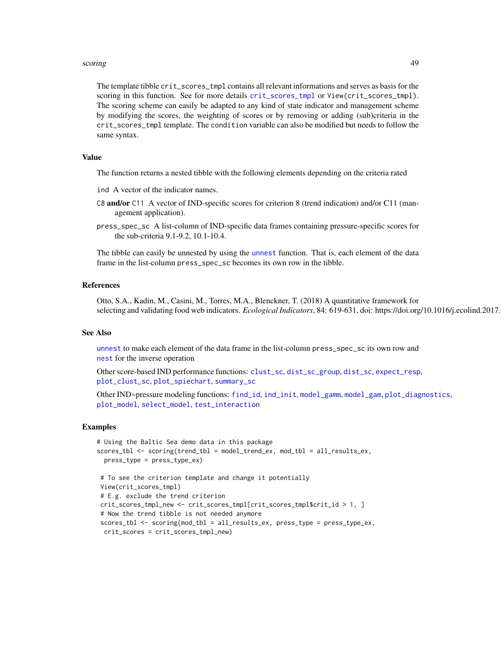#### <span id="page-48-0"></span>scoring the contract of the contract of the contract of the contract of the contract of the contract of the contract of the contract of the contract of the contract of the contract of the contract of the contract of the co

The template tibble crit\_scores\_tmpl contains all relevant informations and serves as basis for the scoring in this function. See for more details [crit\\_scores\\_tmpl](#page-16-1) or View(crit\_scores\_tmpl). The scoring scheme can easily be adapted to any kind of state indicator and management scheme by modifying the scores, the weighting of scores or by removing or adding (sub)criteria in the crit\_scores\_tmpl template. The condition variable can also be modified but needs to follow the same syntax.

# Value

The function returns a nested tibble with the following elements depending on the criteria rated

- ind A vector of the indicator names.
- C8 and/or C11 A vector of IND-specific scores for criterion 8 (trend indication) and/or C11 (management application).
- press\_spec\_sc A list-column of IND-specific data frames containing pressure-specific scores for the sub-criteria 9.1-9.2, 10.1-10.4.

The tibble can easily be unnested by using the [unnest](#page-0-0) function. That is, each element of the data frame in the list-column press\_spec\_sc becomes its own row in the tibble.

#### References

Otto, S.A., Kadin, M., Casini, M., Torres, M.A., Blenckner, T. (2018) A quantitative framework for selecting and validating food web indicators. *Ecological Indicators*, 84: 619-631, doi: https://doi.org/10.1016/j.ecolind.2017.

# See Also

[unnest](#page-0-0) to make each element of the data frame in the list-column press\_spec\_sc its own row and [nest](#page-0-0) for the inverse operation

Other score-based IND performance functions: [clust\\_sc](#page-13-1), [dist\\_sc\\_group](#page-18-1), [dist\\_sc](#page-17-1), [expect\\_resp](#page-19-1), [plot\\_clust\\_sc](#page-36-1), [plot\\_spiechart](#page-41-1), [summary\\_sc](#page-54-1)

Other IND~pressure modeling functions: [find\\_id](#page-20-1), [ind\\_init](#page-22-1), [model\\_gamm](#page-29-1), [model\\_gam](#page-26-1), [plot\\_diagnostics](#page-37-1), [plot\\_model](#page-39-1), [select\\_model](#page-50-1), [test\\_interaction](#page-55-1)

#### Examples

```
# Using the Baltic Sea demo data in this package
scores_tbl <- scoring(trend_tbl = model_trend_ex, mod_tbl = all_results_ex,
 press_type = press_type_ex)
# To see the criterion template and change it potentially
View(crit_scores_tmpl)
# E.g. exclude the trend criterion
crit_scores_tmpl_new <- crit_scores_tmpl[crit_scores_tmpl$crit_id > 1, ]
# Now the trend tibble is not needed anymore
scores_tbl <- scoring(mod_tbl = all_results_ex, press_type = press_type_ex,
 crit_scores = crit_scores_tmpl_new)
```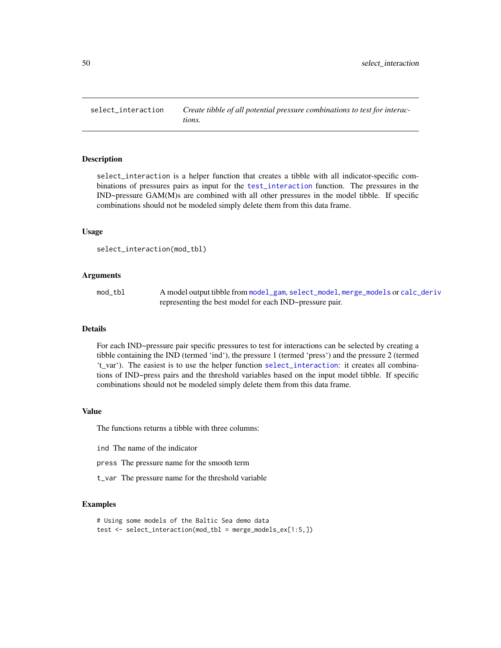<span id="page-49-1"></span><span id="page-49-0"></span>select\_interaction *Create tibble of all potential pressure combinations to test for interactions.*

#### Description

select\_interaction is a helper function that creates a tibble with all indicator-specific combinations of pressures pairs as input for the [test\\_interaction](#page-55-1) function. The pressures in the IND~pressure GAM(M)s are combined with all other pressures in the model tibble. If specific combinations should not be modeled simply delete them from this data frame.

#### Usage

```
select_interaction(mod_tbl)
```
#### **Arguments**

| mod_tbl | A model output tibble from model_gam, select_model, merge_models or calc_deriv |
|---------|--------------------------------------------------------------------------------|
|         | representing the best model for each IND~pressure pair.                        |

# Details

For each IND~pressure pair specific pressures to test for interactions can be selected by creating a tibble containing the IND (termed 'ind'), the pressure 1 (termed 'press') and the pressure 2 (termed 't\_var'). The easiest is to use the helper function [select\\_interaction](#page-49-1): it creates all combinations of IND~press pairs and the threshold variables based on the input model tibble. If specific combinations should not be modeled simply delete them from this data frame.

# Value

The functions returns a tibble with three columns:

ind The name of the indicator

press The pressure name for the smooth term

t\_var The pressure name for the threshold variable

# Examples

```
# Using some models of the Baltic Sea demo data
test <- select_interaction(mod_tbl = merge_models_ex[1:5,])
```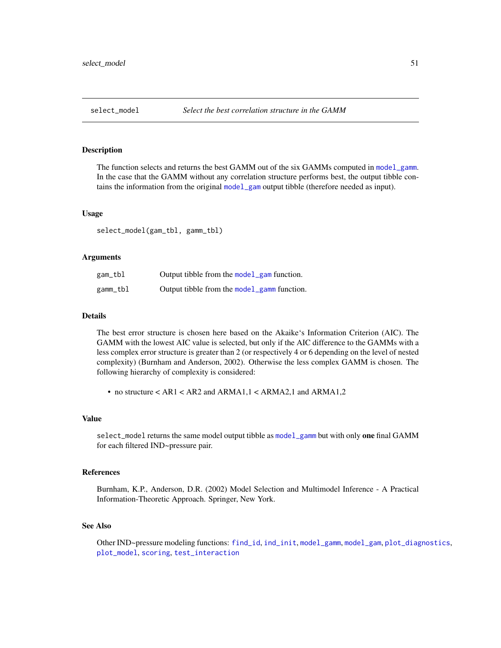#### <span id="page-50-1"></span><span id="page-50-0"></span>Description

The function selects and returns the best GAMM out of the six GAMMs computed in [model\\_gamm](#page-29-1). In the case that the GAMM without any correlation structure performs best, the output tibble contains the information from the original [model\\_gam](#page-26-1) output tibble (therefore needed as input).

#### Usage

select\_model(gam\_tbl, gamm\_tbl)

#### Arguments

| gam_tbl  | Output tibble from the model_gam function.  |
|----------|---------------------------------------------|
| gamm_tbl | Output tibble from the model_gamm function. |

# Details

The best error structure is chosen here based on the Akaike's Information Criterion (AIC). The GAMM with the lowest AIC value is selected, but only if the AIC difference to the GAMMs with a less complex error structure is greater than 2 (or respectively 4 or 6 depending on the level of nested complexity) (Burnham and Anderson, 2002). Otherwise the less complex GAMM is chosen. The following hierarchy of complexity is considered:

• no structure < AR1 < AR2 and ARMA1,1 < ARMA2,1 and ARMA1,2

#### Value

select\_model returns the same model output tibble as [model\\_gamm](#page-29-1) but with only one final GAMM for each filtered IND~pressure pair.

# References

Burnham, K.P., Anderson, D.R. (2002) Model Selection and Multimodel Inference - A Practical Information-Theoretic Approach. Springer, New York.

# See Also

Other IND~pressure modeling functions: [find\\_id](#page-20-1), [ind\\_init](#page-22-1), [model\\_gamm](#page-29-1), [model\\_gam](#page-26-1), [plot\\_diagnostics](#page-37-1), [plot\\_model](#page-39-1), [scoring](#page-47-1), [test\\_interaction](#page-55-1)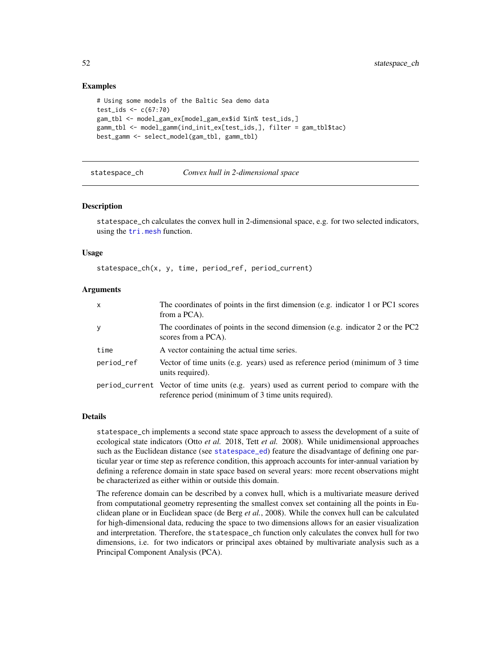# Examples

```
# Using some models of the Baltic Sea demo data
test_ids \leq c(67:70)
gam_tbl <- model_gam_ex[model_gam_ex$id %in% test_ids,]
gamm_tbl <- model_gamm(ind_init_ex[test_ids,], filter = gam_tbl$tac)
best_gamm <- select_model(gam_tbl, gamm_tbl)
```
<span id="page-51-1"></span>statespace\_ch *Convex hull in 2-dimensional space*

#### Description

statespace\_ch calculates the convex hull in 2-dimensional space, e.g. for two selected indicators, using the [tri.mesh](#page-0-0) function.

#### Usage

statespace\_ch(x, y, time, period\_ref, period\_current)

#### **Arguments**

| x          | The coordinates of points in the first dimension (e.g. indicator 1 or PC1 scores<br>from a PCA).                                                    |
|------------|-----------------------------------------------------------------------------------------------------------------------------------------------------|
| у          | The coordinates of points in the second dimension (e.g. indicator 2 or the PC2<br>scores from a PCA).                                               |
| time       | A vector containing the actual time series.                                                                                                         |
| period_ref | Vector of time units (e.g. years) used as reference period (minimum of 3 time<br>units required).                                                   |
|            | period_current Vector of time units (e.g. years) used as current period to compare with the<br>reference period (minimum of 3 time units required). |

#### Details

statespace\_ch implements a second state space approach to assess the development of a suite of ecological state indicators (Otto *et al.* 2018, Tett *et al.* 2008). While unidimensional approaches such as the Euclidean distance (see [statespace\\_ed](#page-53-1)) feature the disadvantage of defining one particular year or time step as reference condition, this approach accounts for inter-annual variation by defining a reference domain in state space based on several years: more recent observations might be characterized as either within or outside this domain.

The reference domain can be described by a convex hull, which is a multivariate measure derived from computational geometry representing the smallest convex set containing all the points in Euclidean plane or in Euclidean space (de Berg *et al.*, 2008). While the convex hull can be calculated for high-dimensional data, reducing the space to two dimensions allows for an easier visualization and interpretation. Therefore, the statespace\_ch function only calculates the convex hull for two dimensions, i.e. for two indicators or principal axes obtained by multivariate analysis such as a Principal Component Analysis (PCA).

<span id="page-51-0"></span>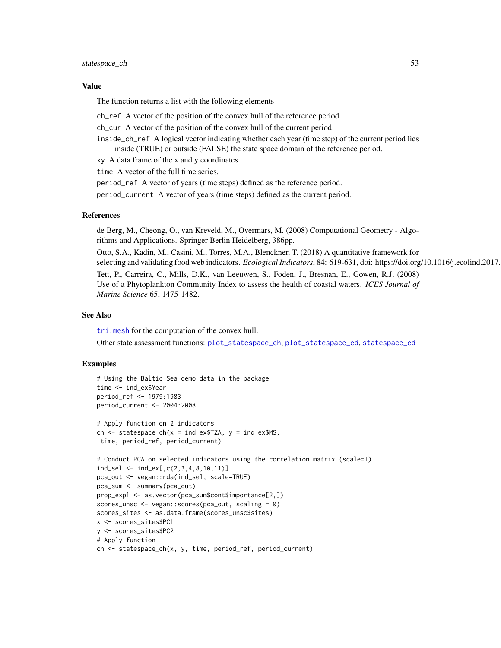#### <span id="page-52-0"></span>statespace\_ch 53

#### Value

The function returns a list with the following elements

ch\_ref A vector of the position of the convex hull of the reference period.

ch\_cur A vector of the position of the convex hull of the current period.

inside\_ch\_ref A logical vector indicating whether each year (time step) of the current period lies inside (TRUE) or outside (FALSE) the state space domain of the reference period.

xy A data frame of the x and y coordinates.

time A vector of the full time series.

period\_ref A vector of years (time steps) defined as the reference period.

period\_current A vector of years (time steps) defined as the current period.

# References

de Berg, M., Cheong, O., van Kreveld, M., Overmars, M. (2008) Computational Geometry - Algorithms and Applications. Springer Berlin Heidelberg, 386pp.

Otto, S.A., Kadin, M., Casini, M., Torres, M.A., Blenckner, T. (2018) A quantitative framework for selecting and validating food web indicators. *Ecological Indicators*, 84: 619-631, doi: https://doi.org/10.1016/j.ecolind.2017.

Tett, P., Carreira, C., Mills, D.K., van Leeuwen, S., Foden, J., Bresnan, E., Gowen, R.J. (2008) Use of a Phytoplankton Community Index to assess the health of coastal waters. *ICES Journal of Marine Science* 65, 1475-1482.

# See Also

[tri.mesh](#page-0-0) for the computation of the convex hull.

Other state assessment functions: [plot\\_statespace\\_ch](#page-43-1), [plot\\_statespace\\_ed](#page-44-1), [statespace\\_ed](#page-53-1)

# Examples

```
# Using the Baltic Sea demo data in the package
time <- ind_ex$Year
period_ref <- 1979:1983
period_current <- 2004:2008
# Apply function on 2 indicators
ch <- statespace_ch(x = ind_ex$TZA, y = ind_ex$MS,
time, period_ref, period_current)
# Conduct PCA on selected indicators using the correlation matrix (scale=T)
ind_sel <- ind_ex[,c(2,3,4,8,10,11)]
pca_out <- vegan::rda(ind_sel, scale=TRUE)
pca_sum <- summary(pca_out)
prop_expl <- as.vector(pca_sum$cont$importance[2,])
scores_unsc <- vegan::scores(pca_out, scaling = 0)
scores_sites <- as.data.frame(scores_unsc$sites)
x <- scores_sites$PC1
y <- scores_sites$PC2
# Apply function
ch <- statespace_ch(x, y, time, period_ref, period_current)
```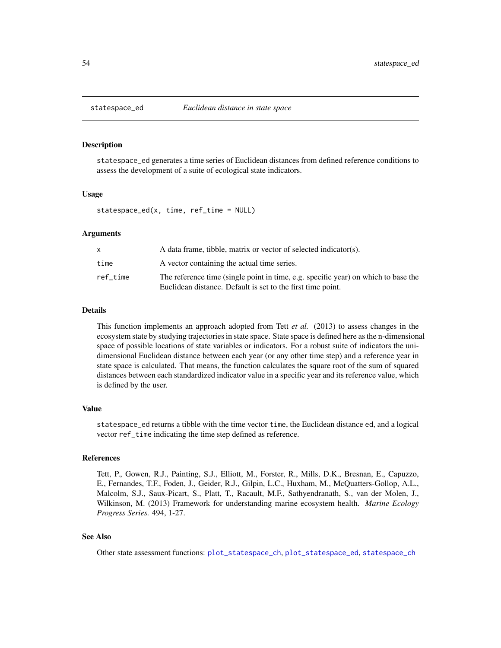<span id="page-53-1"></span><span id="page-53-0"></span>

#### Description

statespace\_ed generates a time series of Euclidean distances from defined reference conditions to assess the development of a suite of ecological state indicators.

#### Usage

statespace\_ed(x, time, ref\_time = NULL)

# Arguments

|          | A data frame, tibble, matrix or vector of selected indicator(s).                                                                                  |
|----------|---------------------------------------------------------------------------------------------------------------------------------------------------|
| time     | A vector containing the actual time series.                                                                                                       |
| ref time | The reference time (single point in time, e.g. specific year) on which to base the<br>Euclidean distance. Default is set to the first time point. |

# Details

This function implements an approach adopted from Tett *et al.* (2013) to assess changes in the ecosystem state by studying trajectories in state space. State space is defined here as the n-dimensional space of possible locations of state variables or indicators. For a robust suite of indicators the unidimensional Euclidean distance between each year (or any other time step) and a reference year in state space is calculated. That means, the function calculates the square root of the sum of squared distances between each standardized indicator value in a specific year and its reference value, which is defined by the user.

#### Value

statespace\_ed returns a tibble with the time vector time, the Euclidean distance ed, and a logical vector ref\_time indicating the time step defined as reference.

# References

Tett, P., Gowen, R.J., Painting, S.J., Elliott, M., Forster, R., Mills, D.K., Bresnan, E., Capuzzo, E., Fernandes, T.F., Foden, J., Geider, R.J., Gilpin, L.C., Huxham, M., McQuatters-Gollop, A.L., Malcolm, S.J., Saux-Picart, S., Platt, T., Racault, M.F., Sathyendranath, S., van der Molen, J., Wilkinson, M. (2013) Framework for understanding marine ecosystem health. *Marine Ecology Progress Series.* 494, 1-27.

# See Also

Other state assessment functions: [plot\\_statespace\\_ch](#page-43-1), [plot\\_statespace\\_ed](#page-44-1), [statespace\\_ch](#page-51-1)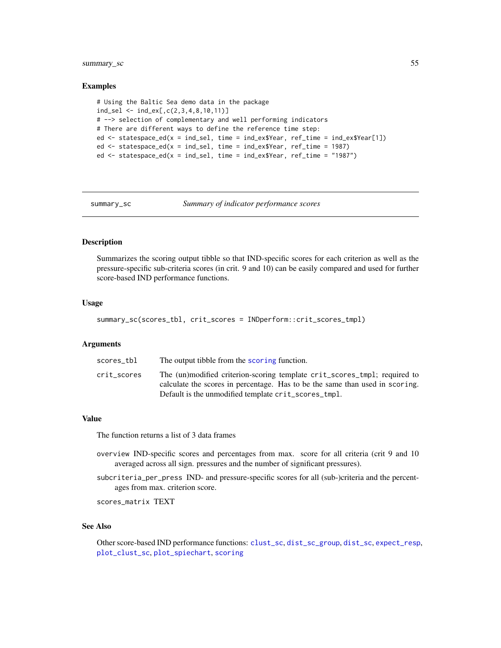# <span id="page-54-0"></span>summary\_sc 55

#### Examples

```
# Using the Baltic Sea demo data in the package
ind_sel <- ind_ex[,c(2,3,4,8,10,11)]
# --> selection of complementary and well performing indicators
# There are different ways to define the reference time step:
ed <- statespace_ed(x = ind_sel, time = ind_ex$Year, ref_time = ind_ex$Year[1])
ed <- statespace_ed(x = ind_sel, time = ind_ex$Year, ref_time = 1987)
ed \le statespace_ed(x = ind_sel, time = ind_ex$Year, ref_time = "1987")
```
summary\_sc *Summary of indicator performance scores*

# **Description**

Summarizes the scoring output tibble so that IND-specific scores for each criterion as well as the pressure-specific sub-criteria scores (in crit. 9 and 10) can be easily compared and used for further score-based IND performance functions.

#### Usage

summary\_sc(scores\_tbl, crit\_scores = INDperform::crit\_scores\_tmpl)

#### Arguments

| scores tbl  | The output tibble from the scoring function.                                                                                                                                                                      |
|-------------|-------------------------------------------------------------------------------------------------------------------------------------------------------------------------------------------------------------------|
| crit scores | The (un)modified criterion-scoring template crit_scores_tmpl; required to<br>calculate the scores in percentage. Has to be the same than used in scoring.<br>Default is the unmodified template crit_scores_tmpl. |
|             |                                                                                                                                                                                                                   |

#### Value

The function returns a list of 3 data frames

- overview IND-specific scores and percentages from max. score for all criteria (crit 9 and 10 averaged across all sign. pressures and the number of significant pressures).
- subcriteria\_per\_press IND- and pressure-specific scores for all (sub-)criteria and the percentages from max. criterion score.

scores\_matrix TEXT

# See Also

Other score-based IND performance functions: [clust\\_sc](#page-13-1), [dist\\_sc\\_group](#page-18-1), [dist\\_sc](#page-17-1), [expect\\_resp](#page-19-1), [plot\\_clust\\_sc](#page-36-1), [plot\\_spiechart](#page-41-1), [scoring](#page-47-1)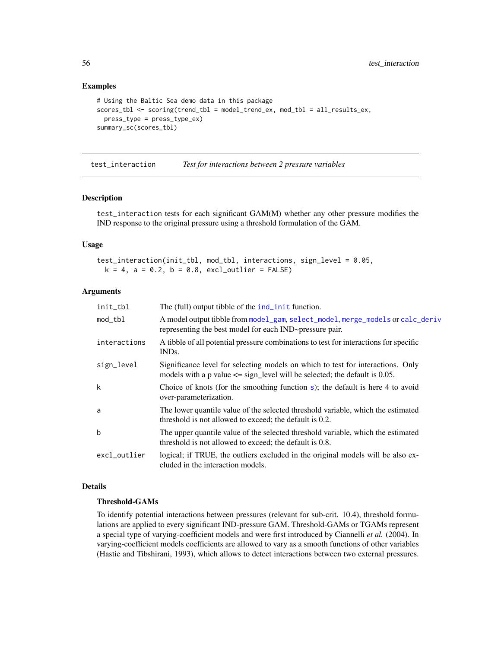# Examples

```
# Using the Baltic Sea demo data in this package
scores_tbl <- scoring(trend_tbl = model_trend_ex, mod_tbl = all_results_ex,
 press_type = press_type_ex)
summary_sc(scores_tbl)
```
<span id="page-55-1"></span>test\_interaction *Test for interactions between 2 pressure variables*

#### Description

test\_interaction tests for each significant GAM(M) whether any other pressure modifies the IND response to the original pressure using a threshold formulation of the GAM.

#### Usage

test\_interaction(init\_tbl, mod\_tbl, interactions, sign\_level = 0.05,  $k = 4$ ,  $a = 0.2$ ,  $b = 0.8$ ,  $excl_outlier = FALSE$ )

### Arguments

| init_tbl     | The (full) output tibble of the ind_init function.                                                                                                                |
|--------------|-------------------------------------------------------------------------------------------------------------------------------------------------------------------|
| mod_tbl      | A model output tibble from model_gam, select_model, merge_models or calc_deriv<br>representing the best model for each IND~pressure pair.                         |
| interactions | A tibble of all potential pressure combinations to test for interactions for specific<br>IND <sub>s</sub> .                                                       |
| sign_level   | Significance level for selecting models on which to test for interactions. Only<br>models with a p value $\leq$ sign_level will be selected; the default is 0.05. |
| k            | Choice of knots (for the smoothing function s); the default is here 4 to avoid<br>over-parameterization.                                                          |
| a            | The lower quantile value of the selected threshold variable, which the estimated<br>threshold is not allowed to exceed; the default is 0.2.                       |
| $\mathbf b$  | The upper quantile value of the selected threshold variable, which the estimated<br>threshold is not allowed to exceed; the default is 0.8.                       |
| excl_outlier | logical; if TRUE, the outliers excluded in the original models will be also ex-<br>cluded in the interaction models.                                              |
|              |                                                                                                                                                                   |

# Details

# Threshold-GAMs

To identify potential interactions between pressures (relevant for sub-crit. 10.4), threshold formulations are applied to every significant IND-pressure GAM. Threshold-GAMs or TGAMs represent a special type of varying-coefficient models and were first introduced by Ciannelli *et al.* (2004). In varying-coefficient models coefficients are allowed to vary as a smooth functions of other variables (Hastie and Tibshirani, 1993), which allows to detect interactions between two external pressures.

<span id="page-55-0"></span>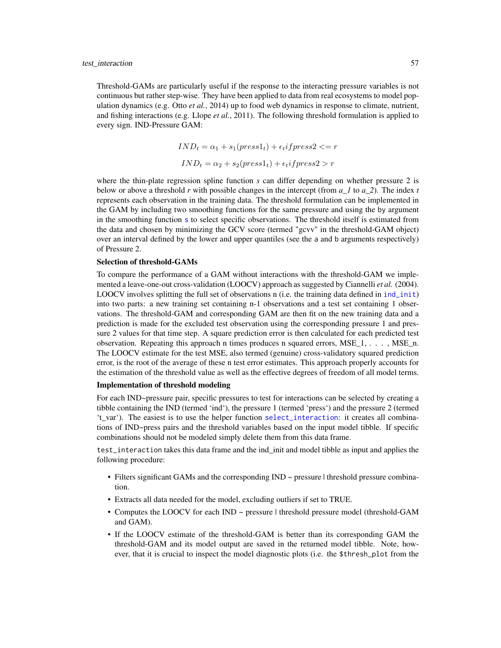<span id="page-56-0"></span>Threshold-GAMs are particularly useful if the response to the interacting pressure variables is not continuous but rather step-wise. They have been applied to data from real ecosystems to model population dynamics (e.g. Otto *et al.*, 2014) up to food web dynamics in response to climate, nutrient, and fishing interactions (e.g. Llope *et al.*, 2011). The following threshold formulation is applied to every sign. IND-Pressure GAM:

$$
IND_t = \alpha_1 + s_1(press1_t) + \epsilon_t if press2 \langle = r
$$

$$
IND_t = \alpha_2 + s_2(press1_t) + \epsilon_t if press2 > r
$$

where the thin-plate regression spline function *s* can differ depending on whether pressure 2 is below or above a threshold *r* with possible changes in the intercept (from *a\_1* to *a\_2*). The index *t* represents each observation in the training data. The threshold formulation can be implemented in the GAM by including two smoothing functions for the same pressure and using the by argument in the smoothing function [s](#page-0-0) to select specific observations. The threshold itself is estimated from the data and chosen by minimizing the GCV score (termed "gcvv" in the threshold-GAM object) over an interval defined by the lower and upper quantiles (see the a and b arguments respectively) of Pressure 2.

#### Selection of threshold-GAMs

To compare the performance of a GAM without interactions with the threshold-GAM we implemented a leave-one-out cross-validation (LOOCV) approach as suggested by Ciannelli *et al.* (2004). LOOCV involves splitting the full set of observations n (i.e. the training data defined in [ind\\_init](#page-22-1)) into two parts: a new training set containing n-1 observations and a test set containing 1 observations. The threshold-GAM and corresponding GAM are then fit on the new training data and a prediction is made for the excluded test observation using the corresponding pressure 1 and pressure 2 values for that time step. A square prediction error is then calculated for each predicted test observation. Repeating this approach n times produces n squared errors, MSE  $1, \ldots$ , MSE n. The LOOCV estimate for the test MSE, also termed (genuine) cross-validatory squared prediction error, is the root of the average of these n test error estimates. This approach properly accounts for the estimation of the threshold value as well as the effective degrees of freedom of all model terms.

# Implementation of threshold modeling

For each IND~pressure pair, specific pressures to test for interactions can be selected by creating a tibble containing the IND (termed 'ind'), the pressure 1 (termed 'press') and the pressure 2 (termed 't\_var'). The easiest is to use the helper function [select\\_interaction](#page-49-1): it creates all combinations of IND~press pairs and the threshold variables based on the input model tibble. If specific combinations should not be modeled simply delete them from this data frame.

test\_interaction takes this data frame and the ind\_init and model tibble as input and applies the following procedure:

- Filters significant GAMs and the corresponding  $IND \sim$  pressure  $|$  threshold pressure combination.
- Extracts all data needed for the model, excluding outliers if set to TRUE.
- Computes the LOOCV for each IND ~ pressure | threshold pressure model (threshold-GAM and GAM).
- If the LOOCV estimate of the threshold-GAM is better than its corresponding GAM the threshold-GAM and its model output are saved in the returned model tibble. Note, however, that it is crucial to inspect the model diagnostic plots (i.e. the \$thresh\_plot from the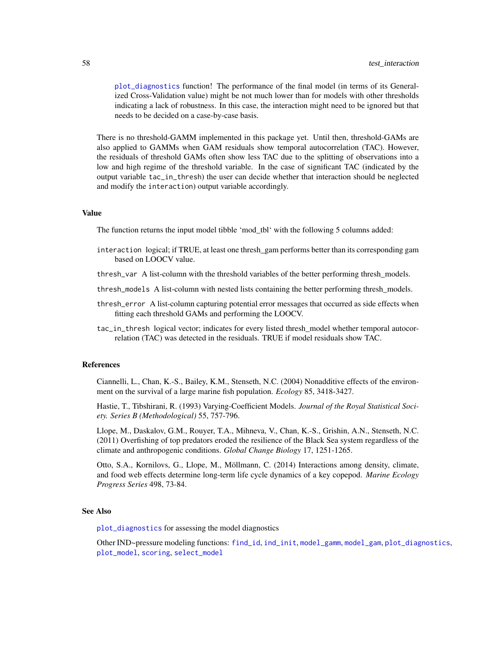<span id="page-57-0"></span>[plot\\_diagnostics](#page-37-1) function! The performance of the final model (in terms of its Generalized Cross-Validation value) might be not much lower than for models with other thresholds indicating a lack of robustness. In this case, the interaction might need to be ignored but that needs to be decided on a case-by-case basis.

There is no threshold-GAMM implemented in this package yet. Until then, threshold-GAMs are also applied to GAMMs when GAM residuals show temporal autocorrelation (TAC). However, the residuals of threshold GAMs often show less TAC due to the splitting of observations into a low and high regime of the threshold variable. In the case of significant TAC (indicated by the output variable tac\_in\_thresh) the user can decide whether that interaction should be neglected and modify the interaction) output variable accordingly.

# Value

The function returns the input model tibble 'mod\_tbl' with the following 5 columns added:

- interaction logical; if TRUE, at least one thresh\_gam performs better than its corresponding gam based on LOOCV value.
- thresh\_var A list-column with the threshold variables of the better performing thresh\_models.
- thresh\_models A list-column with nested lists containing the better performing thresh\_models.
- thresh\_error A list-column capturing potential error messages that occurred as side effects when fitting each threshold GAMs and performing the LOOCV.
- tac\_in\_thresh logical vector; indicates for every listed thresh\_model whether temporal autocorrelation (TAC) was detected in the residuals. TRUE if model residuals show TAC.

#### References

Ciannelli, L., Chan, K.-S., Bailey, K.M., Stenseth, N.C. (2004) Nonadditive effects of the environment on the survival of a large marine fish population. *Ecology* 85, 3418-3427.

Hastie, T., Tibshirani, R. (1993) Varying-Coefficient Models. *Journal of the Royal Statistical Society. Series B (Methodological)* 55, 757-796.

Llope, M., Daskalov, G.M., Rouyer, T.A., Mihneva, V., Chan, K.-S., Grishin, A.N., Stenseth, N.C. (2011) Overfishing of top predators eroded the resilience of the Black Sea system regardless of the climate and anthropogenic conditions. *Global Change Biology* 17, 1251-1265.

Otto, S.A., Kornilovs, G., Llope, M., Möllmann, C. (2014) Interactions among density, climate, and food web effects determine long-term life cycle dynamics of a key copepod. *Marine Ecology Progress Series* 498, 73-84.

#### See Also

[plot\\_diagnostics](#page-37-1) for assessing the model diagnostics

Other IND~pressure modeling functions: [find\\_id](#page-20-1), [ind\\_init](#page-22-1), [model\\_gamm](#page-29-1), [model\\_gam](#page-26-1), [plot\\_diagnostics](#page-37-1), [plot\\_model](#page-39-1), [scoring](#page-47-1), [select\\_model](#page-50-1)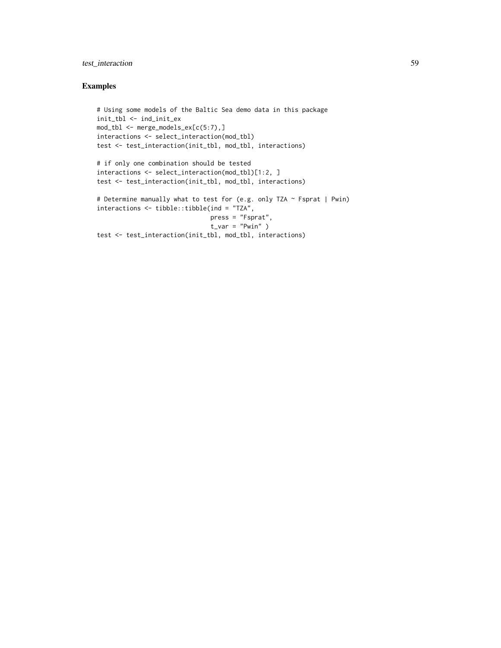# test\_interaction 59

# Examples

```
# Using some models of the Baltic Sea demo data in this package
init_tbl <- ind_init_ex
mod_tbl <- merge_models_ex[c(5:7),]
interactions <- select_interaction(mod_tbl)
test <- test_interaction(init_tbl, mod_tbl, interactions)
# if only one combination should be tested
interactions <- select_interaction(mod_tbl)[1:2, ]
test <- test_interaction(init_tbl, mod_tbl, interactions)
# Determine manually what to test for (e.g. only TZA ~ Fsprat | Pwin)
interactions <- tibble::tibble(ind = "TZA",
                              press = "Fsprat",
                               t_var = "Pwin" )test <- test_interaction(init_tbl, mod_tbl, interactions)
```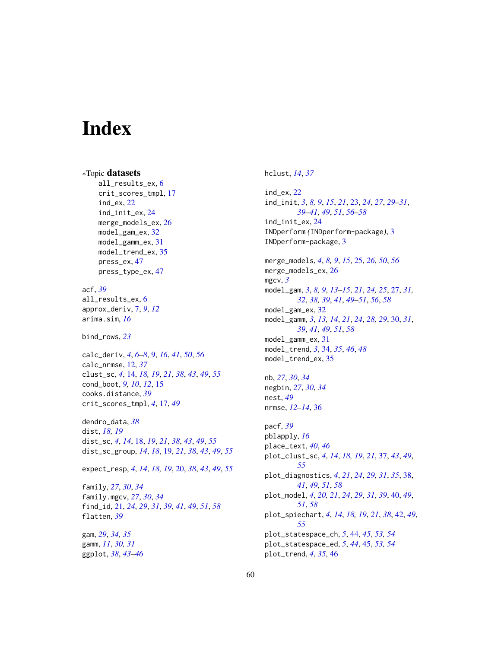# <span id="page-59-0"></span>**Index**

∗Topic datasets all\_results\_ex, [6](#page-5-0) crit\_scores\_tmpl, [17](#page-16-0) ind\_ex, [22](#page-21-0) ind\_init\_ex, [24](#page-23-0) merge\_models\_ex, [26](#page-25-0) model\_gam\_ex, [32](#page-31-0) model\_gamm\_ex, [31](#page-30-0) model\_trend\_ex, [35](#page-34-0) press\_ex, [47](#page-46-0) press\_type\_ex, [47](#page-46-0) acf, *[39](#page-38-0)* all\_results\_ex, [6](#page-5-0) approx\_deriv, [7,](#page-6-0) *[9](#page-8-0)*, *[12](#page-11-0)* arima.sim, *[16](#page-15-0)* bind\_rows, *[23](#page-22-0)* calc\_deriv, *[4](#page-3-0)*, *[6](#page-5-0)[–8](#page-7-0)*, [9,](#page-8-0) *[16](#page-15-0)*, *[41](#page-40-0)*, *[50](#page-49-0)*, *[56](#page-55-0)* calc\_nrmse, [12,](#page-11-0) *[37](#page-36-0)* clust\_sc, *[4](#page-3-0)*, [14,](#page-13-0) *[18,](#page-17-0) [19](#page-18-0)*, *[21](#page-20-0)*, *[38](#page-37-0)*, *[43](#page-42-0)*, *[49](#page-48-0)*, *[55](#page-54-0)* cond\_boot, *[9,](#page-8-0) [10](#page-9-0)*, *[12](#page-11-0)*, [15](#page-14-0) cooks.distance, *[39](#page-38-0)* crit\_scores\_tmpl, *[4](#page-3-0)*, [17,](#page-16-0) *[49](#page-48-0)* dendro\_data, *[38](#page-37-0)* dist, *[18,](#page-17-0) [19](#page-18-0)* dist\_sc, *[4](#page-3-0)*, *[14](#page-13-0)*, [18,](#page-17-0) *[19](#page-18-0)*, *[21](#page-20-0)*, *[38](#page-37-0)*, *[43](#page-42-0)*, *[49](#page-48-0)*, *[55](#page-54-0)* dist\_sc\_group, *[14](#page-13-0)*, *[18](#page-17-0)*, [19,](#page-18-0) *[21](#page-20-0)*, *[38](#page-37-0)*, *[43](#page-42-0)*, *[49](#page-48-0)*, *[55](#page-54-0)* expect\_resp, *[4](#page-3-0)*, *[14](#page-13-0)*, *[18,](#page-17-0) [19](#page-18-0)*, [20,](#page-19-0) *[38](#page-37-0)*, *[43](#page-42-0)*, *[49](#page-48-0)*, *[55](#page-54-0)* family, *[27](#page-26-0)*, *[30](#page-29-0)*, *[34](#page-33-0)* family.mgcv, *[27](#page-26-0)*, *[30](#page-29-0)*, *[34](#page-33-0)* find\_id, [21,](#page-20-0) *[24](#page-23-0)*, *[29](#page-28-0)*, *[31](#page-30-0)*, *[39](#page-38-0)*, *[41](#page-40-0)*, *[49](#page-48-0)*, *[51](#page-50-0)*, *[58](#page-57-0)* flatten, *[39](#page-38-0)* gam, *[29](#page-28-0)*, *[34,](#page-33-0) [35](#page-34-0)* gamm, *[11](#page-10-0)*, *[30,](#page-29-0) [31](#page-30-0)* ggplot, *[38](#page-37-0)*, *[43](#page-42-0)[–46](#page-45-0)*

# hclust, *[14](#page-13-0)*, *[37](#page-36-0)*

ind\_ex, [22](#page-21-0) ind\_init, *[3](#page-2-0)*, *[8,](#page-7-0) [9](#page-8-0)*, *[15](#page-14-0)*, *[21](#page-20-0)*, [23,](#page-22-0) *[24](#page-23-0)*, *[27](#page-26-0)*, *[29](#page-28-0)[–31](#page-30-0)*, *[39](#page-38-0)[–41](#page-40-0)*, *[49](#page-48-0)*, *[51](#page-50-0)*, *[56](#page-55-0)[–58](#page-57-0)* ind\_init\_ex, [24](#page-23-0) INDperform *(*INDperform-package*)*, [3](#page-2-0) INDperform-package, [3](#page-2-0) merge\_models, *[4](#page-3-0)*, *[8,](#page-7-0) [9](#page-8-0)*, *[15](#page-14-0)*, [25,](#page-24-0) *[26](#page-25-0)*, *[50](#page-49-0)*, *[56](#page-55-0)* merge\_models\_ex, [26](#page-25-0) mgcv, *[3](#page-2-0)* model\_gam, *[3](#page-2-0)*, *[8,](#page-7-0) [9](#page-8-0)*, *[13](#page-12-0)[–15](#page-14-0)*, *[21](#page-20-0)*, *[24,](#page-23-0) [25](#page-24-0)*, [27,](#page-26-0) *[31,](#page-30-0) [32](#page-31-0)*, *[38,](#page-37-0) [39](#page-38-0)*, *[41](#page-40-0)*, *[49](#page-48-0)[–51](#page-50-0)*, *[56](#page-55-0)*, *[58](#page-57-0)* model\_gam\_ex, [32](#page-31-0) model\_gamm, *[3](#page-2-0)*, *[13,](#page-12-0) [14](#page-13-0)*, *[21](#page-20-0)*, *[24](#page-23-0)*, *[28,](#page-27-0) [29](#page-28-0)*, [30,](#page-29-0) *[31](#page-30-0)*, *[39](#page-38-0)*, *[41](#page-40-0)*, *[49](#page-48-0)*, *[51](#page-50-0)*, *[58](#page-57-0)* model\_gamm\_ex, [31](#page-30-0) model\_trend, *[3](#page-2-0)*, [34,](#page-33-0) *[35](#page-34-0)*, *[46](#page-45-0)*, *[48](#page-47-0)* model\_trend\_ex, [35](#page-34-0) nb, *[27](#page-26-0)*, *[30](#page-29-0)*, *[34](#page-33-0)* negbin, *[27](#page-26-0)*, *[30](#page-29-0)*, *[34](#page-33-0)* nest, *[49](#page-48-0)* nrmse, *[12](#page-11-0)[–14](#page-13-0)*, [36](#page-35-0)

pacf, *[39](#page-38-0)* pblapply, *[16](#page-15-0)* place\_text, *[40](#page-39-0)*, *[46](#page-45-0)* plot\_clust\_sc, *[4](#page-3-0)*, *[14](#page-13-0)*, *[18,](#page-17-0) [19](#page-18-0)*, *[21](#page-20-0)*, [37,](#page-36-0) *[43](#page-42-0)*, *[49](#page-48-0)*, *[55](#page-54-0)* plot\_diagnostics, *[4](#page-3-0)*, *[21](#page-20-0)*, *[24](#page-23-0)*, *[29](#page-28-0)*, *[31](#page-30-0)*, *[35](#page-34-0)*, [38,](#page-37-0) *[41](#page-40-0)*, *[49](#page-48-0)*, *[51](#page-50-0)*, *[58](#page-57-0)* plot\_model, *[4](#page-3-0)*, *[20,](#page-19-0) [21](#page-20-0)*, *[24](#page-23-0)*, *[29](#page-28-0)*, *[31](#page-30-0)*, *[39](#page-38-0)*, [40,](#page-39-0) *[49](#page-48-0)*, *[51](#page-50-0)*, *[58](#page-57-0)* plot\_spiechart, *[4](#page-3-0)*, *[14](#page-13-0)*, *[18,](#page-17-0) [19](#page-18-0)*, *[21](#page-20-0)*, *[38](#page-37-0)*, [42,](#page-41-0) *[49](#page-48-0)*, *[55](#page-54-0)* plot\_statespace\_ch, *[5](#page-4-0)*, [44,](#page-43-0) *[45](#page-44-0)*, *[53,](#page-52-0) [54](#page-53-0)* plot\_statespace\_ed, *[5](#page-4-0)*, *[44](#page-43-0)*, [45,](#page-44-0) *[53,](#page-52-0) [54](#page-53-0)* plot\_trend, *[4](#page-3-0)*, *[35](#page-34-0)*, [46](#page-45-0)